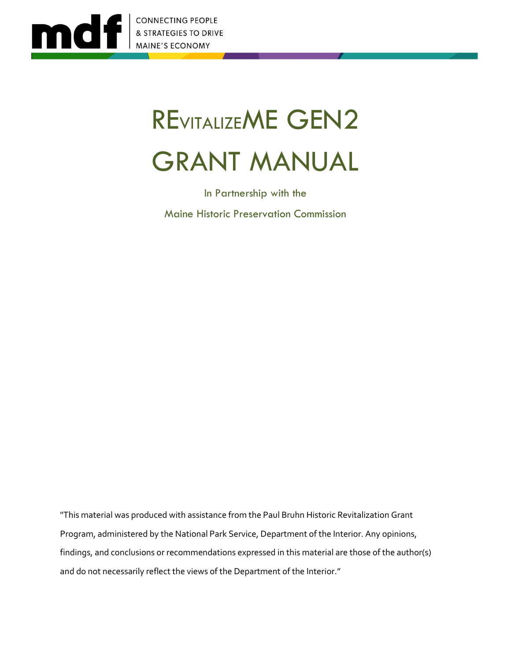

# REVITALIZEME GEN2 GRANT MANUAL

In Partnership with the Maine Historic Preservation Commission

"This material was produced with assistance from the Paul Bruhn Historic Revitalization Grant Program, administered by the National Park Service, Department of the Interior. Any opinions, findings, and conclusions or recommendations expressed in this material are those of the author(s) and do not necessarily reflect the views of the Department of the Interior."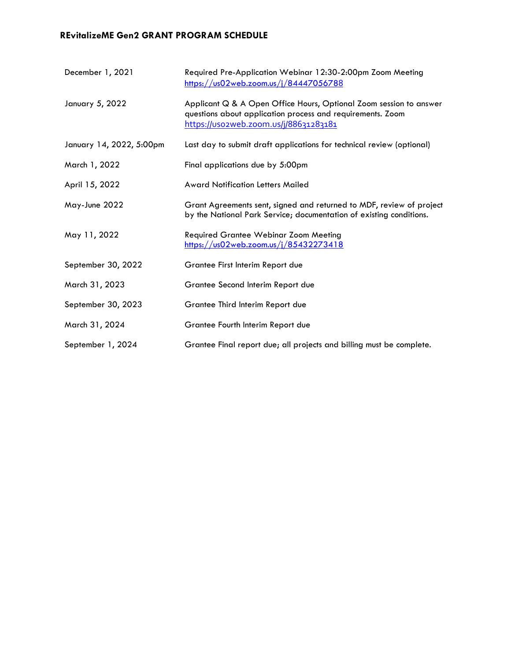#### **REvitalizeME Gen2 GRANT PROGRAM SCHEDULE**

| December 1, 2021         | Required Pre-Application Webinar 12:30-2:00pm Zoom Meeting<br>https://us02web.zoom.us/j/84447056788                                                                       |
|--------------------------|---------------------------------------------------------------------------------------------------------------------------------------------------------------------------|
| January 5, 2022          | Applicant Q & A Open Office Hours, Optional Zoom session to answer<br>questions about application process and requirements. Zoom<br>https://uso2web.zoom.us/j/88631283181 |
| January 14, 2022, 5:00pm | Last day to submit draft applications for technical review (optional)                                                                                                     |
| March 1, 2022            | Final applications due by 5:00pm                                                                                                                                          |
| April 15, 2022           | <b>Award Notification Letters Mailed</b>                                                                                                                                  |
| May-June 2022            | Grant Agreements sent, signed and returned to MDF, review of project<br>by the National Park Service; documentation of existing conditions.                               |
| May 11, 2022             | <b>Required Grantee Webinar Zoom Meeting</b><br>https://us02web.zoom.us/j/85432273418                                                                                     |
| September 30, 2022       | Grantee First Interim Report due                                                                                                                                          |
| March 31, 2023           | Grantee Second Interim Report due                                                                                                                                         |
| September 30, 2023       | Grantee Third Interim Report due                                                                                                                                          |
| March 31, 2024           | Grantee Fourth Interim Report due                                                                                                                                         |
| September 1, 2024        | Grantee Final report due; all projects and billing must be complete.                                                                                                      |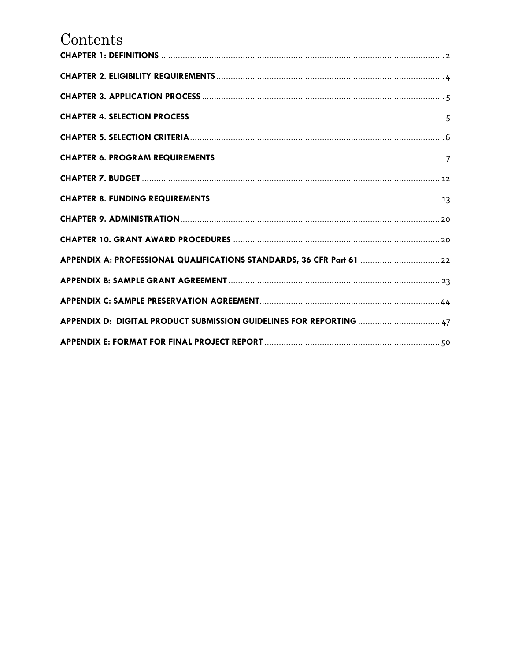## $Contents$

| APPENDIX A: PROFESSIONAL QUALIFICATIONS STANDARDS, 36 CFR Part 61  22 |
|-----------------------------------------------------------------------|
|                                                                       |
|                                                                       |
| APPENDIX D: DIGITAL PRODUCT SUBMISSION GUIDELINES FOR REPORTING  47   |
|                                                                       |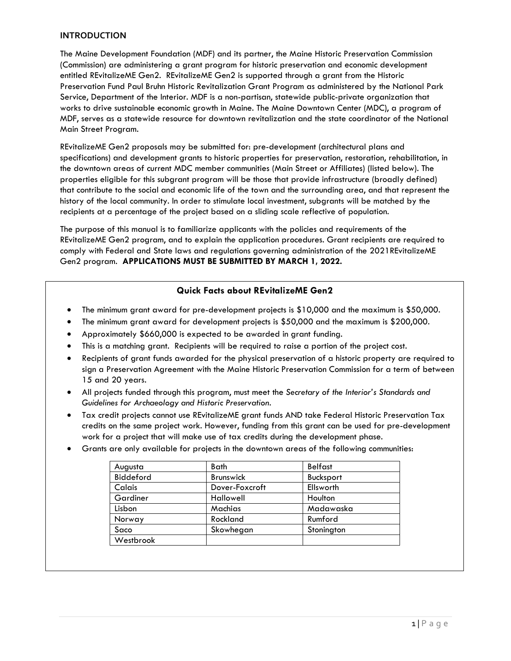#### **INTRODUCTION**

The Maine Development Foundation (MDF) and its partner, the Maine Historic Preservation Commission (Commission) are administering a grant program for historic preservation and economic development entitled REvitalizeME Gen2. REvitalizeME Gen2 is supported through a grant from the Historic Preservation Fund Paul Bruhn Historic Revitalization Grant Program as administered by the National Park Service, Department of the Interior. MDF is a non-partisan, statewide public-private organization that works to drive sustainable economic growth in Maine. The Maine Downtown Center (MDC), a program of MDF, serves as a statewide resource for downtown revitalization and the state coordinator of the National Main Street Program.

REvitalizeME Gen2 proposals may be submitted for: pre-development (architectural plans and specifications) and development grants to historic properties for preservation, restoration, rehabilitation, in the downtown areas of current MDC member communities (Main Street or Affiliates) (listed below). The properties eligible for this subgrant program will be those that provide infrastructure (broadly defined) that contribute to the social and economic life of the town and the surrounding area, and that represent the history of the local community. In order to stimulate local investment, subgrants will be matched by the recipients at a percentage of the project based on a sliding scale reflective of population.

The purpose of this manual is to familiarize applicants with the policies and requirements of the REvitalizeME Gen2 program, and to explain the application procedures. Grant recipients are required to comply with Federal and State laws and regulations governing administration of the 2021REvitalizeME Gen2 program. **APPLICATIONS MUST BE SUBMITTED BY MARCH 1, 2022.**

#### **Quick Facts about REvitalizeME Gen2**

- The minimum grant award for pre-development projects is \$10,000 and the maximum is \$50,000.
- The minimum grant award for development projects is \$50,000 and the maximum is \$200,000.
- Approximately \$660,000 is expected to be awarded in grant funding.
- This is a matching grant. Recipients will be required to raise a portion of the project cost.
- Recipients of grant funds awarded for the physical preservation of a historic property are required to sign a Preservation Agreement with the Maine Historic Preservation Commission for a term of between 15 and 20 years.
- All projects funded through this program, must meet the *Secretary of the Interior's Standards and Guidelines for Archaeology and Historic Preservation*.
- Tax credit projects cannot use REvitalizeME grant funds AND take Federal Historic Preservation Tax credits on the same project work. However, funding from this grant can be used for pre-development work for a project that will make use of tax credits during the development phase.
- Grants are only available for projects in the downtown areas of the following communities:

| <b>Bath</b>      | <b>Belfast</b> |
|------------------|----------------|
| <b>Brunswick</b> | Bucksport      |
| Dover-Foxcroft   | Ellsworth      |
| <b>Hallowell</b> | Houlton        |
| Machias          | Madawaska      |
| Rockland         | Rumford        |
| Skowhegan        | Stonington     |
|                  |                |
|                  |                |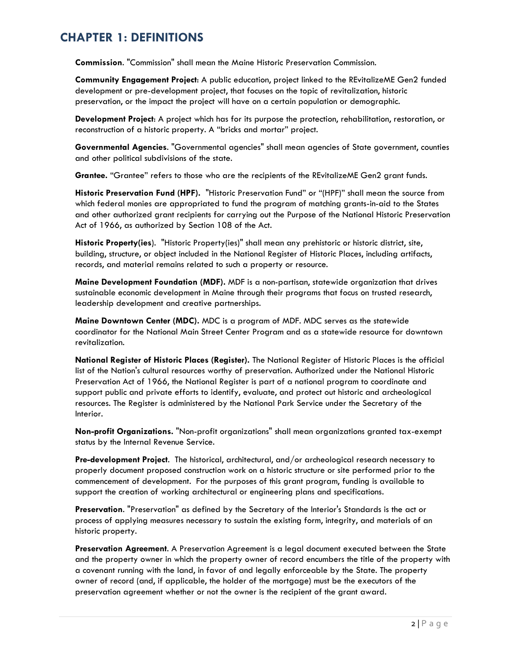## <span id="page-4-0"></span>**CHAPTER 1: DEFINITIONS**

**Commission**. "Commission" shall mean the Maine Historic Preservation Commission.

**Community Engagement Project**: A public education, project linked to the REvitalizeME Gen2 funded development or pre-development project, that focuses on the topic of revitalization, historic preservation, or the impact the project will have on a certain population or demographic.

**Development Project**: A project which has for its purpose the protection, rehabilitation, restoration, or reconstruction of a historic property. A "bricks and mortar" project.

**Governmental Agencies**. "Governmental agencies" shall mean agencies of State government, counties and other political subdivisions of the state.

**Grantee.** "Grantee" refers to those who are the recipients of the REvitalizeME Gen2 grant funds.

**Historic Preservation Fund (HPF).** "Historic Preservation Fund" or "(HPF)" shall mean the source from which federal monies are appropriated to fund the program of matching grants-in-aid to the States and other authorized grant recipients for carrying out the Purpose of the National Historic Preservation Act of 1966, as authorized by Section 108 of the Act.

**Historic Property(ies**). "Historic Property(ies)" shall mean any prehistoric or historic district, site, building, structure, or object included in the National Register of Historic Places, including artifacts, records, and material remains related to such a property or resource.

**Maine Development Foundation (MDF).** MDF is a non-partisan, statewide organization that drives sustainable economic development in Maine through their programs that focus on trusted research, leadership development and creative partnerships.

**Maine Downtown Center (MDC).** MDC is a program of MDF. MDC serves as the statewide coordinator for the National Main Street Center Program and as a statewide resource for downtown revitalization.

**National Register of Historic Places (Register).** The National Register of Historic Places is the official list of the Nation's cultural resources worthy of preservation. Authorized under the National Historic Preservation Act of 1966, the National Register is part of a national program to coordinate and support public and private efforts to identify, evaluate, and protect out historic and archeological resources. The Register is administered by the National Park Service under the Secretary of the Interior.

**Non-profit Organizations.** "Non-profit organizations" shall mean organizations granted tax-exempt status by the Internal Revenue Service.

**Pre-development Project**. The historical, architectural, and/or archeological research necessary to properly document proposed construction work on a historic structure or site performed prior to the commencement of development. For the purposes of this grant program, funding is available to support the creation of working architectural or engineering plans and specifications.

**Preservation**. "Preservation" as defined by the Secretary of the Interior's Standards is the act or process of applying measures necessary to sustain the existing form, integrity, and materials of an historic property.

**Preservation Agreement**. A Preservation Agreement is a legal document executed between the State and the property owner in which the property owner of record encumbers the title of the property with a covenant running with the land, in favor of and legally enforceable by the State. The property owner of record (and, if applicable, the holder of the mortgage) must be the executors of the preservation agreement whether or not the owner is the recipient of the grant award.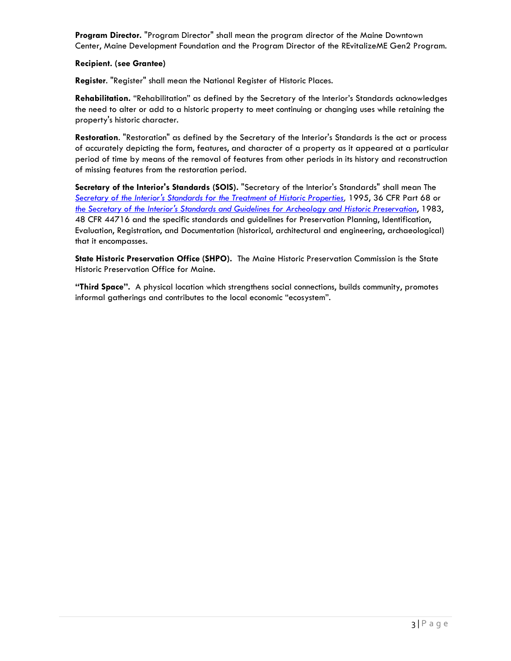**Program Director.** "Program Director" shall mean the program director of the Maine Downtown Center, Maine Development Foundation and the Program Director of the REvitalizeME Gen2 Program.

#### **Recipient. (see Grantee)**

**Register**. "Register" shall mean the National Register of Historic Places.

**Rehabilitation.** "Rehabilitation" as defined by the Secretary of the Interior's Standards acknowledges the need to alter or add to a historic property to meet continuing or changing uses while retaining the property's historic character.

**Restoration**. "Restoration" as defined by the Secretary of the Interior's Standards is the act or process of accurately depicting the form, features, and character of a property as it appeared at a particular period of time by means of the removal of features from other periods in its history and reconstruction of missing features from the restoration period.

**Secretary of the Interior's Standards (SOIS).** "Secretary of the Interior's Standards" shall mean The *[Secretary of the Interior's Standards for the](https://www.nps.gov/tps/standards.htm) Treatment of Historic Properties,* 1995, 36 CFR Part 68 or *[the Secretary of the Interior's Standards and Guidelines for Archeology and Historic Preservation](https://www.nps.gov/history/local-law/arch_stnds_0.htm)*, 1983, 48 CFR 44716 and the specific standards and guidelines for Preservation Planning, Identification, Evaluation, Registration, and Documentation (historical, architectural and engineering, archaeological) that it encompasses.

**State Historic Preservation Office (SHPO).** The Maine Historic Preservation Commission is the State Historic Preservation Office for Maine.

**"Third Space".** A physical location which strengthens social connections, builds community, promotes informal gatherings and contributes to the local economic "ecosystem".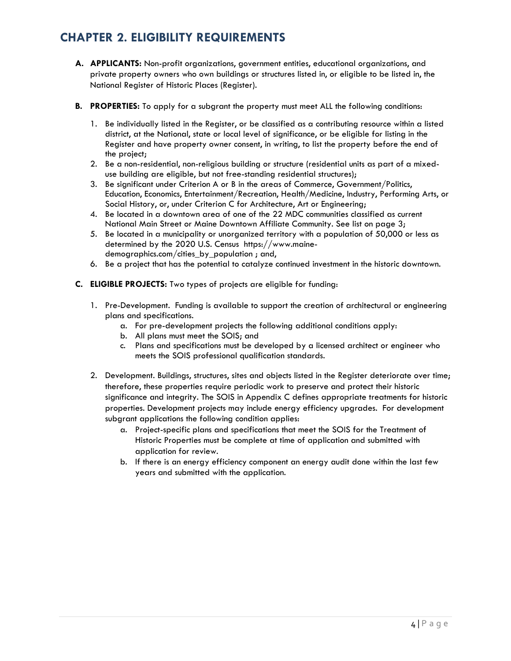## <span id="page-6-0"></span>**CHAPTER 2. ELIGIBILITY REQUIREMENTS**

- **A. APPLICANTS:** Non-profit organizations, government entities, educational organizations, and private property owners who own buildings or structures listed in, or eligible to be listed in, the National Register of Historic Places (Register).
- **B. PROPERTIES:** To apply for a subgrant the property must meet ALL the following conditions:
	- 1. Be individually listed in the Register, or be classified as a contributing resource within a listed district, at the National, state or local level of significance, or be eligible for listing in the Register and have property owner consent, in writing, to list the property before the end of the project;
	- 2. Be a non-residential, non-religious building or structure (residential units as part of a mixeduse building are eligible, but not free-standing residential structures);
	- 3. Be significant under Criterion A or B in the areas of Commerce, Government/Politics, Education, Economics, Entertainment/Recreation, Health/Medicine, Industry, Performing Arts, or Social History, or, under Criterion C for Architecture, Art or Engineering;
	- 4. Be located in a downtown area of one of the 22 MDC communities classified as current National Main Street or Maine Downtown Affiliate Community. See list on page 3;
	- 5. Be located in a municipality or unorganized territory with a population of 50,000 or less as determined by the 2020 U.S. Census [https://www.maine](https://www.maine-demographics.com/cities_by_population)[demographics.com/cities\\_by\\_population](https://www.maine-demographics.com/cities_by_population) ; and,
	- 6. Be a project that has the potential to catalyze continued investment in the historic downtown.
- **C. ELIGIBLE PROJECTS:** Two types of projects are eligible for funding:
	- 1. Pre-Development. Funding is available to support the creation of architectural or engineering plans and specifications.
		- a. For pre-development projects the following additional conditions apply:
		- b. All plans must meet the SOIS; and
		- c. Plans and specifications must be developed by a licensed architect or engineer who meets the SOIS professional qualification standards.
	- 2. Development. Buildings, structures, sites and objects listed in the Register deteriorate over time; therefore, these properties require periodic work to preserve and protect their historic significance and integrity. The SOIS in Appendix C defines appropriate treatments for historic properties. Development projects may include energy efficiency upgrades. For development subgrant applications the following condition applies:
		- a. Project-specific plans and specifications that meet the SOIS for the Treatment of Historic Properties must be complete at time of application and submitted with application for review.
		- b. If there is an energy efficiency component an energy audit done within the last few years and submitted with the application.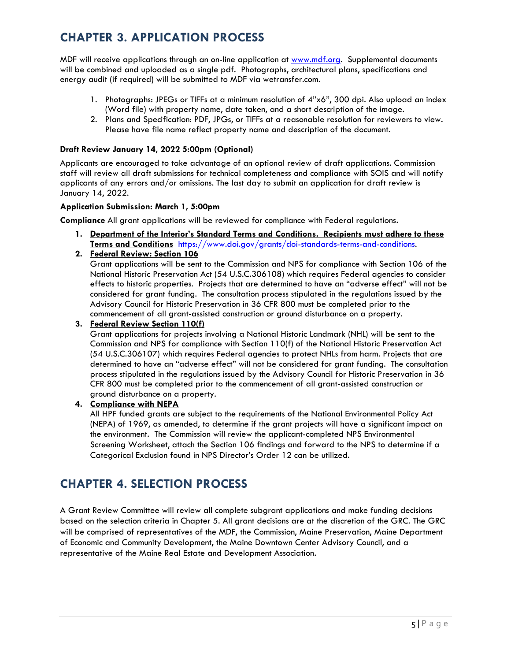## <span id="page-7-0"></span>**CHAPTER 3. APPLICATION PROCESS**

MDF will receive applications through an on-line application at [www.mdf.org.](http://www.mdf.org/) Supplemental documents will be combined and uploaded as a single pdf. Photographs, architectural plans, specifications and energy audit (if required) will be submitted to MDF via wetransfer.com.

- 1. Photographs: JPEGs or TIFFs at a minimum resolution of 4"x6", 300 dpi. Also upload an index (Word file) with property name, date taken, and a short description of the image.
- 2. Plans and Specification: PDF, JPGs, or TIFFs at a reasonable resolution for reviewers to view. Please have file name reflect property name and description of the document.

#### **Draft Review January 14, 2022 5:00pm (Optional)**

Applicants are encouraged to take advantage of an optional review of draft applications. Commission staff will review all draft submissions for technical completeness and compliance with SOIS and will notify applicants of any errors and/or omissions. The last day to submit an application for draft review is January 14, 2022.

#### **Application Submission: March 1, 5:00pm**

**Compliance** All grant applications will be reviewed for compliance with Federal regulations**.**

- **1. Department of the Interior's Standard Terms and Conditions. Recipients must adhere to these Terms and Conditions** [https://www.doi.gov/grants/doi-standards-terms-and-conditions.](https://www.doi.gov/grants/doi-standards-terms-and-conditions)
- **2. Federal Review: Section 106**

Grant applications will be sent to the Commission and NPS for compliance with Section 106 of the National Historic Preservation Act (54 U.S.C.306108) which requires Federal agencies to consider effects to historic properties. Projects that are determined to have an "adverse effect" will not be considered for grant funding. The consultation process stipulated in the regulations issued by the Advisory Council for Historic Preservation in 36 CFR 800 must be completed prior to the commencement of all grant-assisted construction or ground disturbance on a property.

#### **3. Federal Review Section 110(f)**

Grant applications for projects involving a National Historic Landmark (NHL) will be sent to the Commission and NPS for compliance with Section 110(f) of the National Historic Preservation Act (54 U.S.C.306107) which requires Federal agencies to protect NHLs from harm. Projects that are determined to have an "adverse effect" will not be considered for grant funding. The consultation process stipulated in the regulations issued by the Advisory Council for Historic Preservation in 36 CFR 800 must be completed prior to the commencement of all grant-assisted construction or ground disturbance on a property.

#### **4. Compliance with NEPA**

All HPF funded grants are subject to the requirements of the National Environmental Policy Act (NEPA) of 1969, as amended, to determine if the grant projects will have a significant impact on the environment. The Commission will review the applicant-completed NPS Environmental Screening Worksheet, attach the Section 106 findings and forward to the NPS to determine if a Categorical Exclusion found in NPS Director's Order 12 can be utilized.

## <span id="page-7-1"></span>**CHAPTER 4. SELECTION PROCESS**

A Grant Review Committee will review all complete subgrant applications and make funding decisions based on the selection criteria in Chapter 5. All grant decisions are at the discretion of the GRC. The GRC will be comprised of representatives of the MDF, the Commission, Maine Preservation, Maine Department of Economic and Community Development, the Maine Downtown Center Advisory Council, and a representative of the Maine Real Estate and Development Association.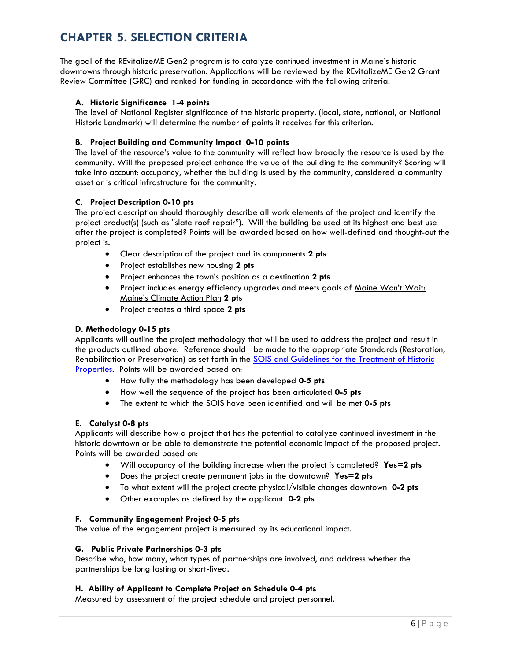## <span id="page-8-0"></span>**CHAPTER 5. SELECTION CRITERIA**

The goal of the REvitalizeME Gen2 program is to catalyze continued investment in Maine's historic downtowns through historic preservation. Applications will be reviewed by the REvitalizeME Gen2 Grant Review Committee (GRC) and ranked for funding in accordance with the following criteria.

#### **A. Historic Significance 1-4 points**

The level of National Register significance of the historic property, (local, state, national, or National Historic Landmark) will determine the number of points it receives for this criterion.

#### **B. Project Building and Community Impact 0-10 points**

The level of the resource's value to the community will reflect how broadly the resource is used by the community. Will the proposed project enhance the value of the building to the community? Scoring will take into account: occupancy, whether the building is used by the community, considered a community asset or is critical infrastructure for the community.

#### **C. Project Description 0-10 pts**

The project description should thoroughly describe all work elements of the project and identify the project product(s) (such as "slate roof repair"). Will the building be used at its highest and best use after the project is completed? Points will be awarded based on how well-defined and thought-out the project is.

- Clear description of the project and its components **2 pts**
- Project establishes new housing **2 pts**
- Project enhances the town's position as a destination **2 pts**
- Project includes energy efficiency upgrades and meets goals of Maine Won't Wait: Maine's Climate Action Plan **2 pts**
- Project creates a third space **2 pts**

#### **D. Methodology 0-15 pts**

Applicants will outline the project methodology that will be used to address the project and result in the products outlined above. Reference should be made to the appropriate Standards (Restoration, Rehabilitation or Preservation) as set forth in the SOIS and Guidelines for the Treatment of Historic [Properties.](https://www.nps.gov/tps/standards.htm) Points will be awarded based on:

- How fully the methodology has been developed **0-5 pts**
- How well the sequence of the project has been articulated **0-5 pts**
- The extent to which the SOIS have been identified and will be met **0-5 pts**

#### **E. Catalyst 0-8 pts**

Applicants will describe how a project that has the potential to catalyze continued investment in the historic downtown or be able to demonstrate the potential economic impact of the proposed project. Points will be awarded based on:

- Will occupancy of the building increase when the project is completed? **Yes=2 pts**
- Does the project create permanent jobs in the downtown? **Yes=2 pts**
- To what extent will the project create physical/visible changes downtown **0-2 pts**
- Other examples as defined by the applicant **0-2 pts**

#### **F. Community Engagement Project 0-5 pts**

The value of the engagement project is measured by its educational impact.

#### **G. Public Private Partnerships 0-3 pts**

Describe who, how many, what types of partnerships are involved, and address whether the partnerships be long lasting or short-lived.

#### **H. Ability of Applicant to Complete Project on Schedule 0-4 pts**

Measured by assessment of the project schedule and project personnel.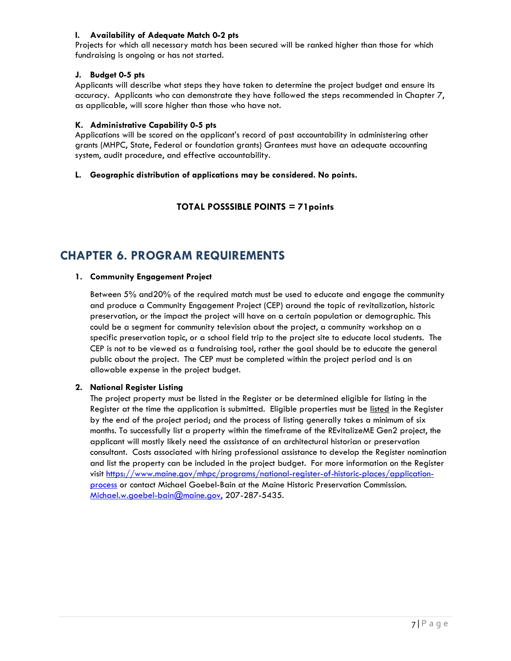#### **I. Availability of Adequate Match 0-2 pts**

Projects for which all necessary match has been secured will be ranked higher than those for which fundraising is ongoing or has not started.

#### **J. Budget 0-5 pts**

Applicants will describe what steps they have taken to determine the project budget and ensure its accuracy. Applicants who can demonstrate they have followed the steps recommended in Chapter 7, as applicable, will score higher than those who have not.

#### **K. Administrative Capability 0-5 pts**

Applications will be scored on the applicant's record of past accountability in administering other grants (MHPC, State, Federal or foundation grants) Grantees must have an adequate accounting system, audit procedure, and effective accountability.

#### **L. Geographic distribution of applications may be considered. No points.**

**TOTAL POSSSIBLE POINTS = 71points**

## <span id="page-9-0"></span>**CHAPTER 6. PROGRAM REQUIREMENTS**

#### **1. Community Engagement Project**

Between 5% and20% of the required match must be used to educate and engage the community and produce a Community Engagement Project (CEP) around the topic of revitalization, historic preservation, or the impact the project will have on a certain population or demographic. This could be a segment for community television about the project, a community workshop on a specific preservation topic, or a school field trip to the project site to educate local students. The CEP is not to be viewed as a fundraising tool, rather the goal should be to educate the general public about the project. The CEP must be completed within the project period and is an allowable expense in the project budget.

#### **2. National Register Listing**

The project property must be listed in the Register or be determined eligible for listing in the Register at the time the application is submitted. Eligible properties must be listed in the Register by the end of the project period; and the process of listing generally takes a minimum of six months. To successfully list a property within the timeframe of the REvitalizeME Gen2 project, the applicant will mostly likely need the assistance of an architectural historian or preservation consultant. Costs associated with hiring professional assistance to develop the Register nomination and list the property can be included in the project budget. For more information on the Register visit [https://www.maine.gov/mhpc/programs/national-register-of-historic-places/application](https://www.maine.gov/mhpc/programs/national-register-of-historic-places/application-process)[process](https://www.maine.gov/mhpc/programs/national-register-of-historic-places/application-process) or contact Michael Goebel-Bain at the Maine Historic Preservation Commission. [Michael.w.goebel-bain@maine.gov,](mailto:Michael.w.goebel-bain@maine.gov) 207-287-5435.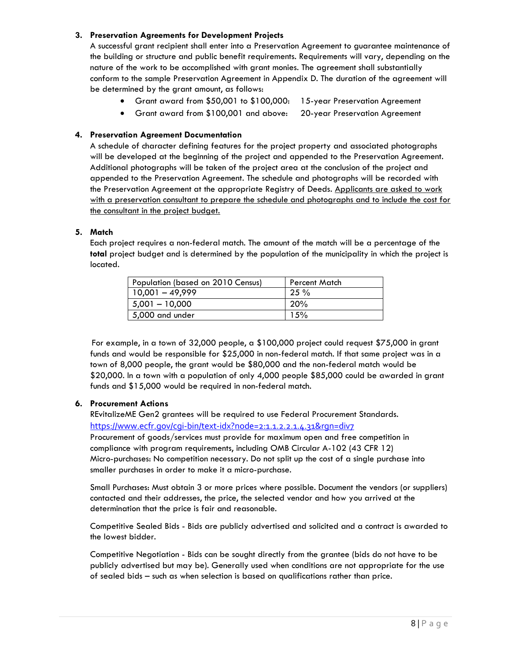#### **3. Preservation Agreements for Development Projects**

A successful grant recipient shall enter into a Preservation Agreement to guarantee maintenance of the building or structure and public benefit requirements. Requirements will vary, depending on the nature of the work to be accomplished with grant monies. The agreement shall substantially conform to the sample Preservation Agreement in Appendix D. The duration of the agreement will be determined by the grant amount, as follows:

- Grant award from \$50,001 to \$100,000: 15-year Preservation Agreement
- Grant award from \$100,001 and above: 20-year Preservation Agreement

#### **4. Preservation Agreement Documentation**

A schedule of character defining features for the project property and associated photographs will be developed at the beginning of the project and appended to the Preservation Agreement. Additional photographs will be taken of the project area at the conclusion of the project and appended to the Preservation Agreement. The schedule and photographs will be recorded with the Preservation Agreement at the appropriate Registry of Deeds. Applicants are asked to work with a preservation consultant to prepare the schedule and photographs and to include the cost for the consultant in the project budget.

#### **5. Match**

Each project requires a non-federal match. The amount of the match will be a percentage of the **total** project budget and is determined by the population of the municipality in which the project is located.

| Population (based on 2010 Census) | <b>Percent Match</b> |
|-----------------------------------|----------------------|
| $10,001 - 49,999$                 | $25 \%$              |
| $5,001 - 10,000$                  | 20%                  |
| 5,000 and under                   | 15%                  |

For example, in a town of 32,000 people, a \$100,000 project could request \$75,000 in grant funds and would be responsible for \$25,000 in non-federal match. If that same project was in a town of 8,000 people, the grant would be \$80,000 and the non-federal match would be \$20,000. In a town with a population of only 4,000 people \$85,000 could be awarded in grant funds and \$15,000 would be required in non-federal match.

#### **6. Procurement Actions**

REvitalizeME Gen2 grantees will be required to use Federal Procurement Standards. https://www.ecfr.gov/cgi-bin/text-idx?node=2:1.1.2.2.1.4.31&rgn=div7

Procurement of goods/services must provide for maximum open and free competition in compliance with program requirements, including OMB Circular A-102 (43 CFR 12) Micro-purchases: No competition necessary. Do not split up the cost of a single purchase into smaller purchases in order to make it a micro-purchase.

Small Purchases: Must obtain 3 or more prices where possible. Document the vendors (or suppliers) contacted and their addresses, the price, the selected vendor and how you arrived at the determination that the price is fair and reasonable.

Competitive Sealed Bids - Bids are publicly advertised and solicited and a contract is awarded to the lowest bidder.

Competitive Negotiation - Bids can be sought directly from the grantee (bids do not have to be publicly advertised but may be). Generally used when conditions are not appropriate for the use of sealed bids – such as when selection is based on qualifications rather than price.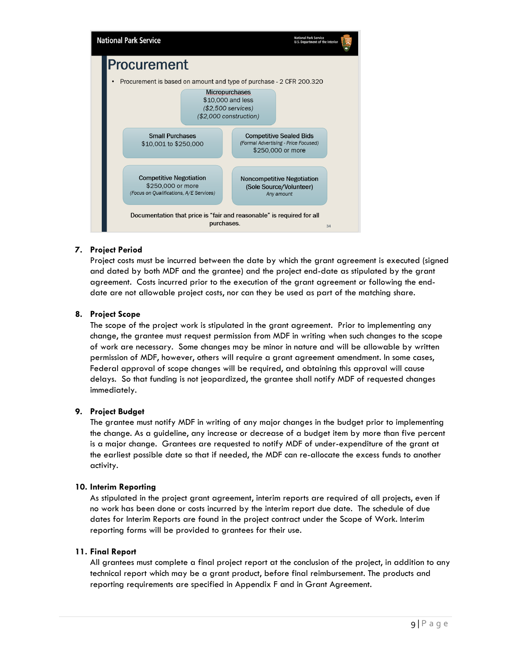

#### **7. Project Period**

Project costs must be incurred between the date by which the grant agreement is executed (signed and dated by both MDF and the grantee) and the project end-date as stipulated by the grant agreement. Costs incurred prior to the execution of the grant agreement or following the enddate are not allowable project costs, nor can they be used as part of the matching share.

#### **8. Project Scope**

The scope of the project work is stipulated in the grant agreement. Prior to implementing any change, the grantee must request permission from MDF in writing when such changes to the scope of work are necessary. Some changes may be minor in nature and will be allowable by written permission of MDF, however, others will require a grant agreement amendment. In some cases, Federal approval of scope changes will be required, and obtaining this approval will cause delays. So that funding is not jeopardized, the grantee shall notify MDF of requested changes immediately.

#### **9. Project Budget**

The grantee must notify MDF in writing of any major changes in the budget prior to implementing the change. As a guideline, any increase or decrease of a budget item by more than five percent is a major change. Grantees are requested to notify MDF of under-expenditure of the grant at the earliest possible date so that if needed, the MDF can re-allocate the excess funds to another activity.

#### **10. Interim Reporting**

As stipulated in the project grant agreement, interim reports are required of all projects, even if no work has been done or costs incurred by the interim report due date. The schedule of due dates for Interim Reports are found in the project contract under the Scope of Work. Interim reporting forms will be provided to grantees for their use.

#### **11. Final Report**

All grantees must complete a final project report at the conclusion of the project, in addition to any technical report which may be a grant product, before final reimbursement. The products and reporting requirements are specified in Appendix F and in Grant Agreement.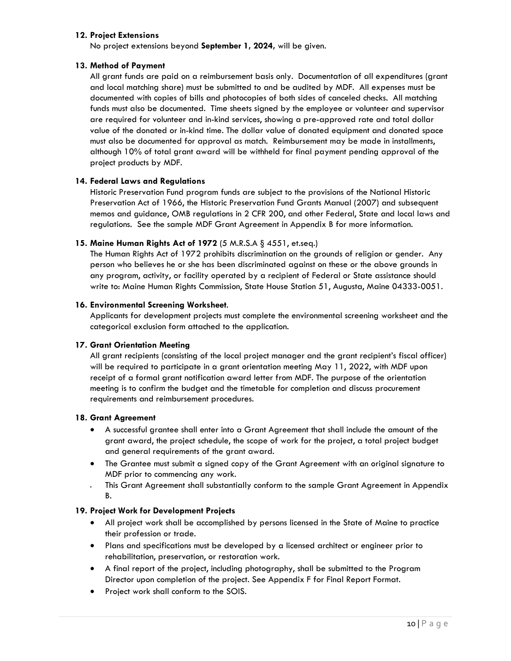#### **12. Project Extensions**

No project extensions beyond **September 1, 2024,** will be given.

#### **13. Method of Payment**

All grant funds are paid on a reimbursement basis only. Documentation of all expenditures (grant and local matching share) must be submitted to and be audited by MDF. All expenses must be documented with copies of bills and photocopies of both sides of canceled checks. All matching funds must also be documented. Time sheets signed by the employee or volunteer and supervisor are required for volunteer and in-kind services, showing a pre-approved rate and total dollar value of the donated or in-kind time. The dollar value of donated equipment and donated space must also be documented for approval as match. Reimbursement may be made in installments, although 10% of total grant award will be withheld for final payment pending approval of the project products by MDF.

#### **14. Federal Laws and Regulations**

Historic Preservation Fund program funds are subject to the provisions of the National Historic Preservation Act of 1966, the Historic Preservation Fund Grants Manual (2007) and subsequent memos and guidance, OMB regulations in 2 CFR 200, and other Federal, State and local laws and regulations. See the sample MDF Grant Agreement in Appendix B for more information.

#### **15. Maine Human Rights Act of 1972** (5 M.R.S.A § 4551, et.seq.)

The Human Rights Act of 1972 prohibits discrimination on the grounds of religion or gender. Any person who believes he or she has been discriminated against on these or the above grounds in any program, activity, or facility operated by a recipient of Federal or State assistance should write to: Maine Human Rights Commission, State House Station 51, Augusta, Maine 04333-0051.

#### **16. Environmental Screening Worksheet**.

Applicants for development projects must complete the environmental screening worksheet and the categorical exclusion form attached to the application.

#### **17. Grant Orientation Meeting**

All grant recipients (consisting of the local project manager and the grant recipient's fiscal officer) will be required to participate in a grant orientation meeting May 11, 2022, with MDF upon receipt of a formal grant notification award letter from MDF. The purpose of the orientation meeting is to confirm the budget and the timetable for completion and discuss procurement requirements and reimbursement procedures.

#### **18. Grant Agreement**

- A successful grantee shall enter into a Grant Agreement that shall include the amount of the grant award, the project schedule, the scope of work for the project, a total project budget and general requirements of the grant award.
- The Grantee must submit a signed copy of the Grant Agreement with an original signature to MDF prior to commencing any work.
- This Grant Agreement shall substantially conform to the sample Grant Agreement in Appendix B.

#### **19. Project Work for Development Projects**

- All project work shall be accomplished by persons licensed in the State of Maine to practice their profession or trade.
- Plans and specifications must be developed by a licensed architect or engineer prior to rehabilitation, preservation, or restoration work.
- A final report of the project, including photography, shall be submitted to the Program Director upon completion of the project. See Appendix F for Final Report Format.
- Project work shall conform to the SOIS.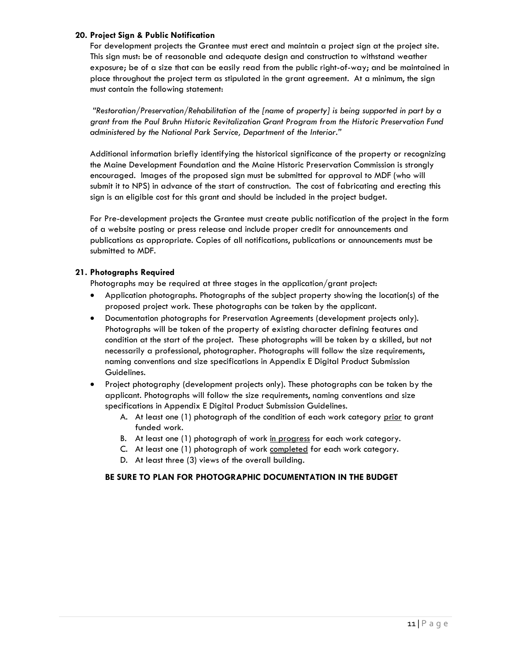#### **20. Project Sign & Public Notification**

For development projects the Grantee must erect and maintain a project sign at the project site. This sign must: be of reasonable and adequate design and construction to withstand weather exposure; be of a size that can be easily read from the public right-of-way; and be maintained in place throughout the project term as stipulated in the grant agreement. At a minimum, the sign must contain the following statement:

*"Restoration/Preservation/Rehabilitation of the [name of property] is being supported in part by a grant from the Paul Bruhn Historic Revitalization Grant Program from the Historic Preservation Fund administered by the National Park Service, Department of the Interior."*

Additional information briefly identifying the historical significance of the property or recognizing the Maine Development Foundation and the Maine Historic Preservation Commission is strongly encouraged. Images of the proposed sign must be submitted for approval to MDF (who will submit it to NPS) in advance of the start of construction. The cost of fabricating and erecting this sign is an eligible cost for this grant and should be included in the project budget.

For Pre-development projects the Grantee must create public notification of the project in the form of a website posting or press release and include proper credit for announcements and publications as appropriate. Copies of all notifications, publications or announcements must be submitted to MDF.

#### **21. Photographs Required**

Photographs may be required at three stages in the application/grant project:

- Application photographs. Photographs of the subject property showing the location(s) of the proposed project work. These photographs can be taken by the applicant.
- Documentation photographs for Preservation Agreements (development projects only). Photographs will be taken of the property of existing character defining features and condition at the start of the project. These photographs will be taken by a skilled, but not necessarily a professional, photographer. Photographs will follow the size requirements, naming conventions and size specifications in Appendix E Digital Product Submission Guidelines.
- Project photography (development projects only). These photographs can be taken by the applicant. Photographs will follow the size requirements, naming conventions and size specifications in Appendix E Digital Product Submission Guidelines.
	- A. At least one (1) photograph of the condition of each work category prior to grant funded work.
	- B. At least one (1) photograph of work in progress for each work category.
	- C. At least one (1) photograph of work completed for each work category.
	- D. At least three (3) views of the overall building.

#### **BE SURE TO PLAN FOR PHOTOGRAPHIC DOCUMENTATION IN THE BUDGET**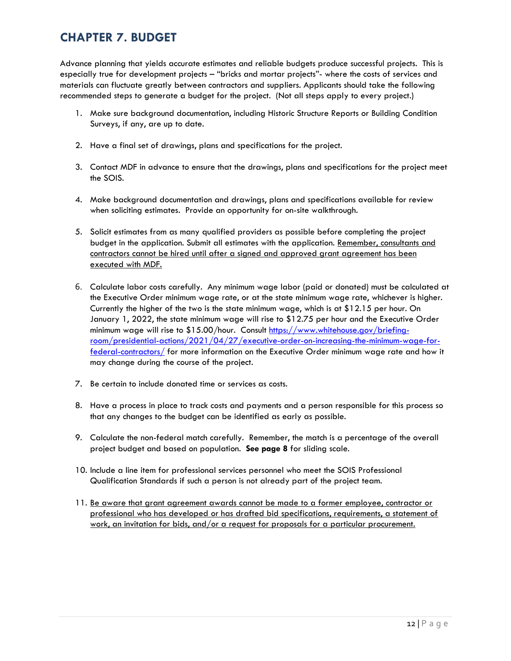## <span id="page-14-0"></span>**CHAPTER 7. BUDGET**

Advance planning that yields accurate estimates and reliable budgets produce successful projects. This is especially true for development projects – "bricks and mortar projects"- where the costs of services and materials can fluctuate greatly between contractors and suppliers. Applicants should take the following recommended steps to generate a budget for the project. (Not all steps apply to every project.)

- 1. Make sure background documentation, including Historic Structure Reports or Building Condition Surveys, if any, are up to date.
- 2. Have a final set of drawings, plans and specifications for the project.
- 3. Contact MDF in advance to ensure that the drawings, plans and specifications for the project meet the SOIS.
- 4. Make background documentation and drawings, plans and specifications available for review when soliciting estimates. Provide an opportunity for on-site walkthrough.
- 5. Solicit estimates from as many qualified providers as possible before completing the project budget in the application. Submit all estimates with the application. Remember, consultants and contractors cannot be hired until after a signed and approved grant agreement has been executed with MDF.
- 6. Calculate labor costs carefully. Any minimum wage labor (paid or donated) must be calculated at the Executive Order minimum wage rate, or at the state minimum wage rate, whichever is higher. Currently the higher of the two is the state minimum wage, which is at \$12.15 per hour. On January 1, 2022, the state minimum wage will rise to \$12.75 per hour and the Executive Order minimum wage will rise to \$15.00/hour. Consult [https://www.whitehouse.gov/briefing](https://www.whitehouse.gov/briefing-room/presidential-actions/2021/04/27/executive-order-on-increasing-the-minimum-wage-for-federal-contractors/)[room/presidential-actions/2021/04/27/executive-order-on-increasing-the-minimum-wage-for](https://www.whitehouse.gov/briefing-room/presidential-actions/2021/04/27/executive-order-on-increasing-the-minimum-wage-for-federal-contractors/)[federal-contractors/](https://www.whitehouse.gov/briefing-room/presidential-actions/2021/04/27/executive-order-on-increasing-the-minimum-wage-for-federal-contractors/) for more information on the Executive Order minimum wage rate and how it may change during the course of the project.
- 7. Be certain to include donated time or services as costs.
- 8. Have a process in place to track costs and payments and a person responsible for this process so that any changes to the budget can be identified as early as possible.
- 9. Calculate the non-federal match carefully. Remember, the match is a percentage of the overall project budget and based on population. **See page 8** for sliding scale.
- 10. Include a line item for professional services personnel who meet the SOIS Professional Qualification Standards if such a person is not already part of the project team.
- 11. Be aware that grant agreement awards cannot be made to a former employee, contractor or professional who has developed or has drafted bid specifications, requirements, a statement of work, an invitation for bids, and/or a request for proposals for a particular procurement.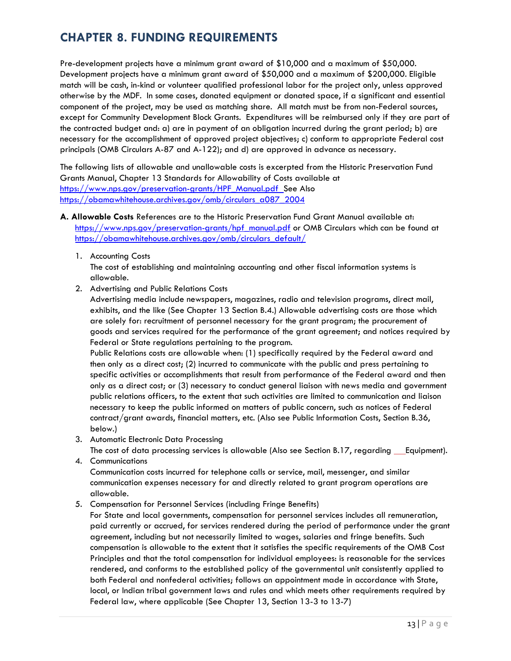## <span id="page-15-0"></span>**CHAPTER 8. FUNDING REQUIREMENTS**

Pre-development projects have a minimum grant award of \$10,000 and a maximum of \$50,000. Development projects have a minimum grant award of \$50,000 and a maximum of \$200,000. Eligible match will be cash, in-kind or volunteer qualified professional labor for the project only, unless approved otherwise by the MDF. In some cases, donated equipment or donated space, if a significant and essential component of the project, may be used as matching share. All match must be from non-Federal sources, except for Community Development Block Grants. Expenditures will be reimbursed only if they are part of the contracted budget and: a) are in payment of an obligation incurred during the grant period; b) are necessary for the accomplishment of approved project objectives; c) conform to appropriate Federal cost principals (OMB Circulars A-87 and A-122); and d) are approved in advance as necessary.

The following lists of allowable and unallowable costs is excerpted from the Historic Preservation Fund Grants Manual, Chapter 13 Standards for Allowability of Costs available at https://www.nps.gov/preservation-grants/HPF\_Manual.pdf\_See Also [https://obamawhitehouse.archives.gov/omb/circulars\\_a087\\_2004](https://obamawhitehouse.archives.gov/omb/circulars_a087_2004)

- **A. Allowable Costs** References are to the Historic Preservation Fund Grant Manual available at: [https://www.nps.gov/preservation-grants/hpf\\_manual.pdf](https://www.nps.gov/preservation-grants/hpf_manual.pdf) or OMB Circulars which can be found at https://obamawhitehouse.archives.gov/omb/circulars\_default/
	- 1. Accounting Costs

The cost of establishing and maintaining accounting and other fiscal information systems is allowable.

2. Advertising and Public Relations Costs

Advertising media include newspapers, magazines, radio and television programs, direct mail, exhibits, and the like (See Chapter 13 Section B.4.) Allowable advertising costs are those which are solely for: recruitment of personnel necessary for the grant program; the procurement of goods and services required for the performance of the grant agreement; and notices required by Federal or State regulations pertaining to the program.

Public Relations costs are allowable when: (1) specifically required by the Federal award and then only as a direct cost; (2) incurred to communicate with the public and press pertaining to specific activities or accomplishments that result from performance of the Federal award and then only as a direct cost; or (3) necessary to conduct general liaison with news media and government public relations officers, to the extent that such activities are limited to communication and liaison necessary to keep the public informed on matters of public concern, such as notices of Federal contract/grant awards, financial matters, etc. (Also see Public Information Costs, Section B.36, below.)

3. Automatic Electronic Data Processing

The cost of data processing services is allowable (Also see Section B.17, regarding Equipment). 4. Communications

Communication costs incurred for telephone calls or service, mail, messenger, and similar communication expenses necessary for and directly related to grant program operations are allowable.

5. Compensation for Personnel Services (including Fringe Benefits)

For State and local governments, compensation for personnel services includes all remuneration, paid currently or accrued, for services rendered during the period of performance under the grant agreement, including but not necessarily limited to wages, salaries and fringe benefits. Such compensation is allowable to the extent that it satisfies the specific requirements of the OMB Cost Principles and that the total compensation for individual employees: is reasonable for the services rendered, and conforms to the established policy of the governmental unit consistently applied to both Federal and nonfederal activities; follows an appointment made in accordance with State, local, or Indian tribal government laws and rules and which meets other requirements required by Federal law, where applicable (See Chapter 13, Section 13-3 to 13-7)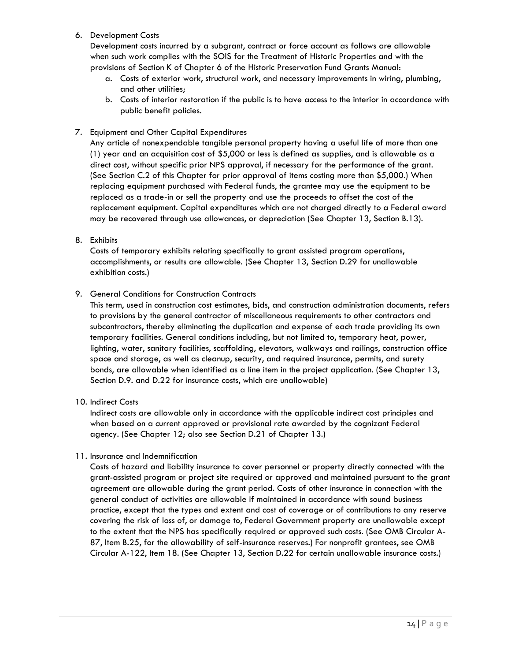6. Development Costs

Development costs incurred by a subgrant, contract or force account as follows are allowable when such work complies with the SOIS for the Treatment of Historic Properties and with the provisions of Section K of Chapter 6 of the Historic Preservation Fund Grants Manual:

- a. Costs of exterior work, structural work, and necessary improvements in wiring, plumbing, and other utilities;
- b. Costs of interior restoration if the public is to have access to the interior in accordance with public benefit policies.
- 7. Equipment and Other Capital Expenditures

Any article of nonexpendable tangible personal property having a useful life of more than one (1) year and an acquisition cost of \$5,000 or less is defined as supplies, and is allowable as a direct cost, without specific prior NPS approval, if necessary for the performance of the grant. (See Section C.2 of this Chapter for prior approval of items costing more than \$5,000.) When replacing equipment purchased with Federal funds, the grantee may use the equipment to be replaced as a trade-in or sell the property and use the proceeds to offset the cost of the replacement equipment. Capital expenditures which are not charged directly to a Federal award may be recovered through use allowances, or depreciation (See Chapter 13, Section B.13).

8. Exhibits

Costs of temporary exhibits relating specifically to grant assisted program operations, accomplishments, or results are allowable. (See Chapter 13, Section D.29 for unallowable exhibition costs.)

9. General Conditions for Construction Contracts

This term, used in construction cost estimates, bids, and construction administration documents, refers to provisions by the general contractor of miscellaneous requirements to other contractors and subcontractors, thereby eliminating the duplication and expense of each trade providing its own temporary facilities. General conditions including, but not limited to, temporary heat, power, lighting, water, sanitary facilities, scaffolding, elevators, walkways and railings, construction office space and storage, as well as cleanup, security, and required insurance, permits, and surety bonds, are allowable when identified as a line item in the project application. (See Chapter 13, Section D.9. and D.22 for insurance costs, which are unallowable)

10. Indirect Costs

Indirect costs are allowable only in accordance with the applicable indirect cost principles and when based on a current approved or provisional rate awarded by the cognizant Federal agency. (See Chapter 12; also see Section D.21 of Chapter 13.)

11. Insurance and Indemnification

Costs of hazard and liability insurance to cover personnel or property directly connected with the grant-assisted program or project site required or approved and maintained pursuant to the grant agreement are allowable during the grant period. Costs of other insurance in connection with the general conduct of activities are allowable if maintained in accordance with sound business practice, except that the types and extent and cost of coverage or of contributions to any reserve covering the risk of loss of, or damage to, Federal Government property are unallowable except to the extent that the NPS has specifically required or approved such costs. (See OMB Circular A-87, Item B.25, for the allowability of self-insurance reserves.) For nonprofit grantees, see OMB Circular A-122, Item 18. (See Chapter 13, Section D.22 for certain unallowable insurance costs.)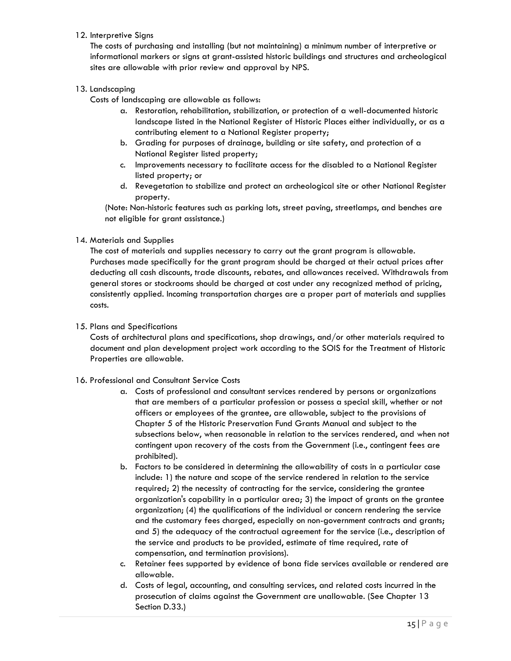#### 12. Interpretive Signs

The costs of purchasing and installing (but not maintaining) a minimum number of interpretive or informational markers or signs at grant-assisted historic buildings and structures and archeological sites are allowable with prior review and approval by NPS.

#### 13. Landscaping

Costs of landscaping are allowable as follows:

- a. Restoration, rehabilitation, stabilization, or protection of a well-documented historic landscape listed in the National Register of Historic Places either individually, or as a contributing element to a National Register property;
- b. Grading for purposes of drainage, building or site safety, and protection of a National Register listed property;
- c. Improvements necessary to facilitate access for the disabled to a National Register listed property; or
- d. Revegetation to stabilize and protect an archeological site or other National Register property.

(Note: Non-historic features such as parking lots, street paving, streetlamps, and benches are not eligible for grant assistance.)

#### 14. Materials and Supplies

The cost of materials and supplies necessary to carry out the grant program is allowable. Purchases made specifically for the grant program should be charged at their actual prices after deducting all cash discounts, trade discounts, rebates, and allowances received. Withdrawals from general stores or stockrooms should be charged at cost under any recognized method of pricing, consistently applied. Incoming transportation charges are a proper part of materials and supplies costs.

#### 15. Plans and Specifications

Costs of architectural plans and specifications, shop drawings, and/or other materials required to document and plan development project work according to the SOIS for the Treatment of Historic Properties are allowable.

#### 16. Professional and Consultant Service Costs

- a. Costs of professional and consultant services rendered by persons or organizations that are members of a particular profession or possess a special skill, whether or not officers or employees of the grantee, are allowable, subject to the provisions of Chapter 5 of the Historic Preservation Fund Grants Manual and subject to the subsections below, when reasonable in relation to the services rendered, and when not contingent upon recovery of the costs from the Government (i.e., contingent fees are prohibited).
- b. Factors to be considered in determining the allowability of costs in a particular case include: 1) the nature and scope of the service rendered in relation to the service required; 2) the necessity of contracting for the service, considering the grantee organization's capability in a particular area; 3) the impact of grants on the grantee organization; (4) the qualifications of the individual or concern rendering the service and the customary fees charged, especially on non-government contracts and grants; and 5) the adequacy of the contractual agreement for the service (i.e., description of the service and products to be provided, estimate of time required, rate of compensation, and termination provisions).
- c. Retainer fees supported by evidence of bona fide services available or rendered are allowable.
- d. Costs of legal, accounting, and consulting services, and related costs incurred in the prosecution of claims against the Government are unallowable. (See Chapter 13 Section D.33.)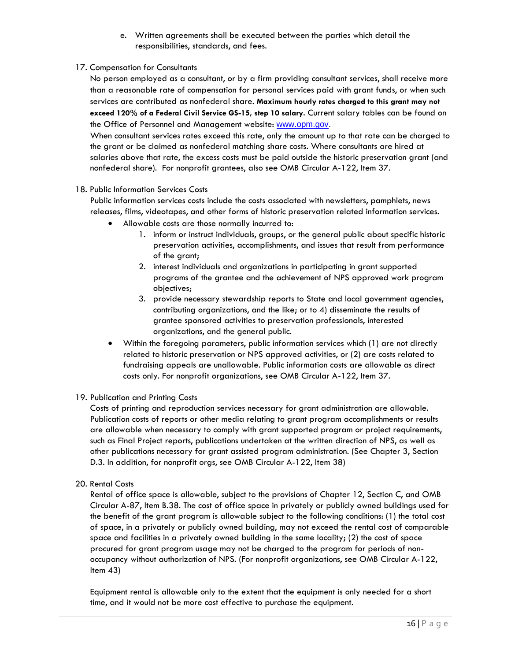- e. Written agreements shall be executed between the parties which detail the responsibilities, standards, and fees.
- 17. Compensation for Consultants

No person employed as a consultant, or by a firm providing consultant services, shall receive more than a reasonable rate of compensation for personal services paid with grant funds, or when such services are contributed as nonfederal share. **Maximum hourly rates charged to this grant may not exceed 120% of a Federal Civil Service GS-15, step 10 salary.** Current salary tables can be found on the Office of Personnel and Management website: www.opm.gov.

When consultant services rates exceed this rate, only the amount up to that rate can be charged to the grant or be claimed as nonfederal matching share costs. Where consultants are hired at salaries above that rate, the excess costs must be paid outside the historic preservation grant (and nonfederal share). For nonprofit grantees, also see OMB Circular A-122, Item 37.

#### 18. Public Information Services Costs

Public information services costs include the costs associated with newsletters, pamphlets, news releases, films, videotapes, and other forms of historic preservation related information services.

- Allowable costs are those normally incurred to:
	- 1. inform or instruct individuals, groups, or the general public about specific historic preservation activities, accomplishments, and issues that result from performance of the grant;
	- 2. interest individuals and organizations in participating in grant supported programs of the grantee and the achievement of NPS approved work program objectives;
	- 3. provide necessary stewardship reports to State and local government agencies, contributing organizations, and the like; or to 4) disseminate the results of grantee sponsored activities to preservation professionals, interested organizations, and the general public.
- Within the foregoing parameters, public information services which (1) are not directly related to historic preservation or NPS approved activities, or (2) are costs related to fundraising appeals are unallowable. Public information costs are allowable as direct costs only. For nonprofit organizations, see OMB Circular A-122, Item 37.

#### 19. Publication and Printing Costs

Costs of printing and reproduction services necessary for grant administration are allowable. Publication costs of reports or other media relating to grant program accomplishments or results are allowable when necessary to comply with grant supported program or project requirements, such as Final Project reports, publications undertaken at the written direction of NPS, as well as other publications necessary for grant assisted program administration. (See Chapter 3, Section D.3. In addition, for nonprofit orgs, see OMB Circular A-122, Item 38)

#### 20. Rental Costs

Rental of office space is allowable, subject to the provisions of Chapter 12, Section C, and OMB Circular A-87, Item B.38. The cost of office space in privately or publicly owned buildings used for the benefit of the grant program is allowable subject to the following conditions: (1) the total cost of space, in a privately or publicly owned building, may not exceed the rental cost of comparable space and facilities in a privately owned building in the same locality; (2) the cost of space procured for grant program usage may not be charged to the program for periods of nonoccupancy without authorization of NPS. (For nonprofit organizations, see OMB Circular A-122, Item 43)

Equipment rental is allowable only to the extent that the equipment is only needed for a short time, and it would not be more cost effective to purchase the equipment.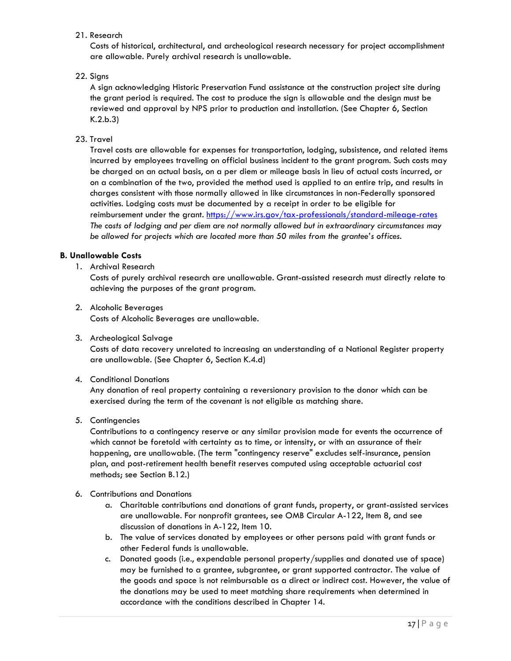#### 21. Research

Costs of historical, architectural, and archeological research necessary for project accomplishment are allowable. Purely archival research is unallowable.

#### 22. Signs

A sign acknowledging Historic Preservation Fund assistance at the construction project site during the grant period is required. The cost to produce the sign is allowable and the design must be reviewed and approval by NPS prior to production and installation. (See Chapter 6, Section K.2.b.3)

#### 23. Travel

Travel costs are allowable for expenses for transportation, lodging, subsistence, and related items incurred by employees traveling on official business incident to the grant program. Such costs may be charged on an actual basis, on a per diem or mileage basis in lieu of actual costs incurred, or on a combination of the two, provided the method used is applied to an entire trip, and results in charges consistent with those normally allowed in like circumstances in non-Federally sponsored activities. Lodging costs must be documented by a receipt in order to be eligible for reimbursement under the grant.<https://www.irs.gov/tax-professionals/standard-mileage-rates> *The costs of lodging and per diem are not normally allowed but in extraordinary circumstances may be allowed for projects which are located more than 50 miles from the grantee's offices.* 

#### **B. Unallowable Costs**

1. Archival Research

Costs of purely archival research are unallowable. Grant-assisted research must directly relate to achieving the purposes of the grant program.

2. Alcoholic Beverages

Costs of Alcoholic Beverages are unallowable.

3. Archeological Salvage

Costs of data recovery unrelated to increasing an understanding of a National Register property are unallowable. (See Chapter 6, Section K.4.d)

#### 4. Conditional Donations

Any donation of real property containing a reversionary provision to the donor which can be exercised during the term of the covenant is not eligible as matching share.

5. Contingencies

Contributions to a contingency reserve or any similar provision made for events the occurrence of which cannot be foretold with certainty as to time, or intensity, or with an assurance of their happening, are unallowable. (The term "contingency reserve" excludes self-insurance, pension plan, and post-retirement health benefit reserves computed using acceptable actuarial cost methods; see Section B.12.)

- 6. Contributions and Donations
	- a. Charitable contributions and donations of grant funds, property, or grant-assisted services are unallowable. For nonprofit grantees, see OMB Circular A-122, Item 8, and see discussion of donations in A-122, Item 10.
	- b. The value of services donated by employees or other persons paid with grant funds or other Federal funds is unallowable.
	- c. Donated goods (i.e., expendable personal property/supplies and donated use of space) may be furnished to a grantee, subgrantee, or grant supported contractor. The value of the goods and space is not reimbursable as a direct or indirect cost. However, the value of the donations may be used to meet matching share requirements when determined in accordance with the conditions described in Chapter 14.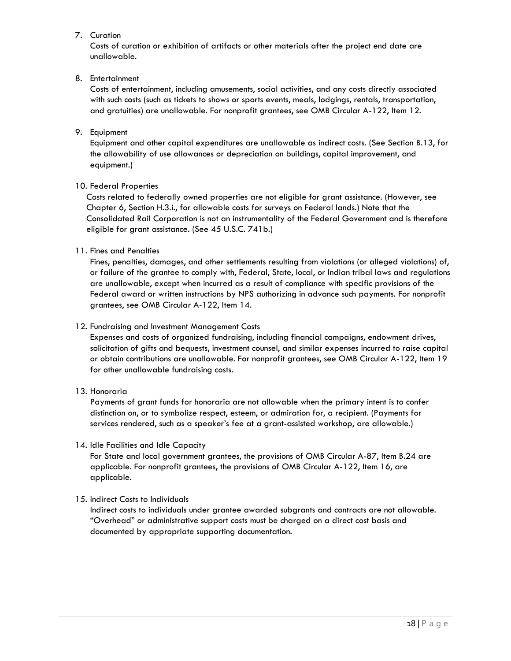#### 7. Curation

Costs of curation or exhibition of artifacts or other materials after the project end date are unallowable.

#### 8. Entertainment

Costs of entertainment, including amusements, social activities, and any costs directly associated with such costs (such as tickets to shows or sports events, meals, lodgings, rentals, transportation, and gratuities) are unallowable. For nonprofit grantees, see OMB Circular A-122, Item 12.

9. Equipment

Equipment and other capital expenditures are unallowable as indirect costs. (See Section B.13, for the allowability of use allowances or depreciation on buildings, capital improvement, and equipment.)

#### 10. Federal Properties

Costs related to federally owned properties are not eligible for grant assistance. (However, see Chapter 6, Section H.3.i., for allowable costs for surveys on Federal lands.) Note that the Consolidated Rail Corporation is not an instrumentality of the Federal Government and is therefore eligible for grant assistance. (See 45 U.S.C. 741b.)

11. Fines and Penalties

Fines, penalties, damages, and other settlements resulting from violations (or alleged violations) of, or failure of the grantee to comply with, Federal, State, local, or Indian tribal laws and regulations are unallowable, except when incurred as a result of compliance with specific provisions of the Federal award or written instructions by NPS authorizing in advance such payments. For nonprofit grantees, see OMB Circular A-122, Item 14.

#### 12. Fundraising and Investment Management Costs

Expenses and costs of organized fundraising, including financial campaigns, endowment drives, solicitation of gifts and bequests, investment counsel, and similar expenses incurred to raise capital or obtain contributions are unallowable. For nonprofit grantees, see OMB Circular A-122, Item 19 for other unallowable fundraising costs.

#### 13. Honoraria

Payments of grant funds for honoraria are not allowable when the primary intent is to confer distinction on, or to symbolize respect, esteem, or admiration for, a recipient. (Payments for services rendered, such as a speaker's fee at a grant-assisted workshop, are allowable.)

#### 14. Idle Facilities and Idle Capacity

For State and local government grantees, the provisions of OMB Circular A-87, Item B.24 are applicable. For nonprofit grantees, the provisions of OMB Circular A-122, Item 16, are applicable.

#### 15. Indirect Costs to Individuals

Indirect costs to individuals under grantee awarded subgrants and contracts are not allowable. "Overhead" or administrative support costs must be charged on a direct cost basis and documented by appropriate supporting documentation.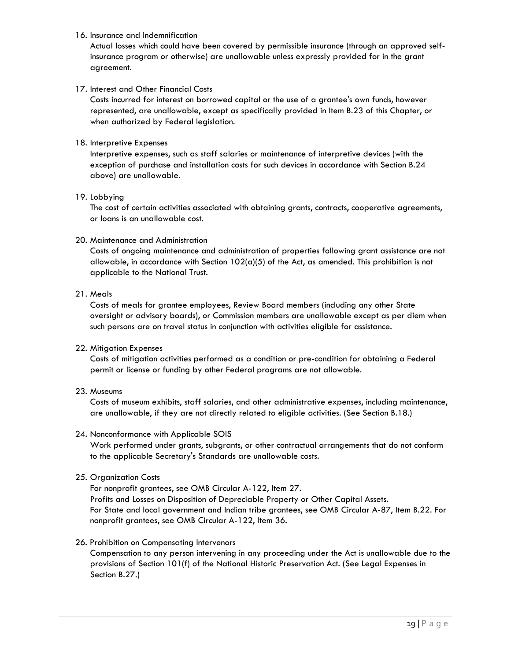#### 16. Insurance and Indemnification

Actual losses which could have been covered by permissible insurance (through an approved selfinsurance program or otherwise) are unallowable unless expressly provided for in the grant agreement.

#### 17. Interest and Other Financial Costs

Costs incurred for interest on borrowed capital or the use of a grantee's own funds, however represented, are unallowable, except as specifically provided in Item B.23 of this Chapter, or when authorized by Federal legislation.

#### 18. Interpretive Expenses

Interpretive expenses, such as staff salaries or maintenance of interpretive devices (with the exception of purchase and installation costs for such devices in accordance with Section B.24 above) are unallowable.

#### 19. Lobbying

The cost of certain activities associated with obtaining grants, contracts, cooperative agreements, or loans is an unallowable cost.

#### 20. Maintenance and Administration

Costs of ongoing maintenance and administration of properties following grant assistance are not allowable, in accordance with Section  $102(a)(5)$  of the Act, as amended. This prohibition is not applicable to the National Trust.

#### 21. Meals

Costs of meals for grantee employees, Review Board members (including any other State oversight or advisory boards), or Commission members are unallowable except as per diem when such persons are on travel status in conjunction with activities eligible for assistance.

#### 22. Mitigation Expenses

Costs of mitigation activities performed as a condition or pre-condition for obtaining a Federal permit or license or funding by other Federal programs are not allowable.

#### 23. Museums

Costs of museum exhibits, staff salaries, and other administrative expenses, including maintenance, are unallowable, if they are not directly related to eligible activities. (See Section B.18.)

#### 24. Nonconformance with Applicable SOIS

Work performed under grants, subgrants, or other contractual arrangements that do not conform to the applicable Secretary's Standards are unallowable costs.

#### 25. Organization Costs

For nonprofit grantees, see OMB Circular A-122, Item 27. Profits and Losses on Disposition of Depreciable Property or Other Capital Assets. For State and local government and Indian tribe grantees, see OMB Circular A-87, Item B.22. For nonprofit grantees, see OMB Circular A-122, Item 36.

#### 26. Prohibition on Compensating Intervenors

Compensation to any person intervening in any proceeding under the Act is unallowable due to the provisions of Section 101(f) of the National Historic Preservation Act. (See Legal Expenses in Section B.27.)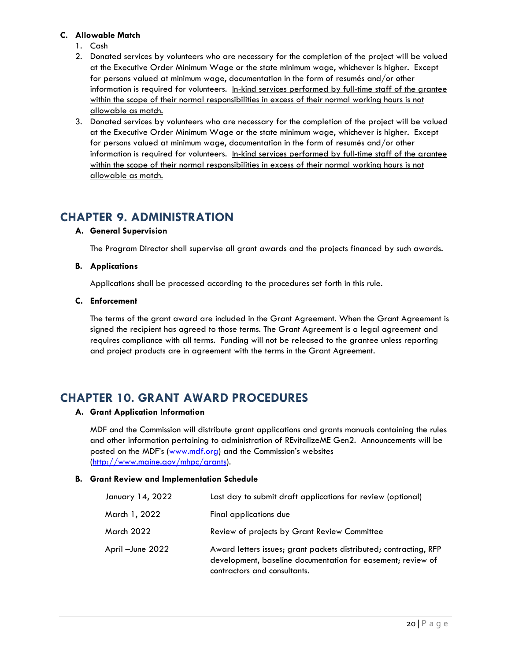#### **C. Allowable Match**

- 1. Cash
- 2. Donated services by volunteers who are necessary for the completion of the project will be valued at the Executive Order Minimum Wage or the state minimum wage, whichever is higher. Except for persons valued at minimum wage, documentation in the form of resumés and/or other information is required for volunteers. In-kind services performed by full-time staff of the grantee within the scope of their normal responsibilities in excess of their normal working hours is not allowable as match.
- 3. Donated services by volunteers who are necessary for the completion of the project will be valued at the Executive Order Minimum Wage or the state minimum wage, whichever is higher. Except for persons valued at minimum wage, documentation in the form of resumés and/or other information is required for volunteers. In-kind services performed by full-time staff of the grantee within the scope of their normal responsibilities in excess of their normal working hours is not allowable as match.

## <span id="page-22-0"></span>**CHAPTER 9. ADMINISTRATION**

#### **A. General Supervision**

The Program Director shall supervise all grant awards and the projects financed by such awards.

#### **B. Applications**

Applications shall be processed according to the procedures set forth in this rule.

#### **C. Enforcement**

The terms of the grant award are included in the Grant Agreement. When the Grant Agreement is signed the recipient has agreed to those terms. The Grant Agreement is a legal agreement and requires compliance with all terms. Funding will not be released to the grantee unless reporting and project products are in agreement with the terms in the Grant Agreement.

## <span id="page-22-1"></span>**CHAPTER 10. GRANT AWARD PROCEDURES**

#### **A. Grant Application Information**

MDF and the Commission will distribute grant applications and grants manuals containing the rules and other information pertaining to administration of REvitalizeME Gen2. Announcements will be posted on the MDF's ([www.mdf.org](http://www.mdf.org/)) and the Commission's websites [\(http://www.maine.gov/mhpc/grants\)](http://www.maine.gov/mhpc/grants).

#### **B. Grant Review and Implementation Schedule**

| January 14, 2022  | Last day to submit draft applications for review (optional)                                                                                                      |
|-------------------|------------------------------------------------------------------------------------------------------------------------------------------------------------------|
| March 1, 2022     | Final applications due                                                                                                                                           |
| March 2022        | Review of projects by Grant Review Committee                                                                                                                     |
| April - June 2022 | Award letters issues; grant packets distributed; contracting, RFP<br>development, baseline documentation for easement; review of<br>contractors and consultants. |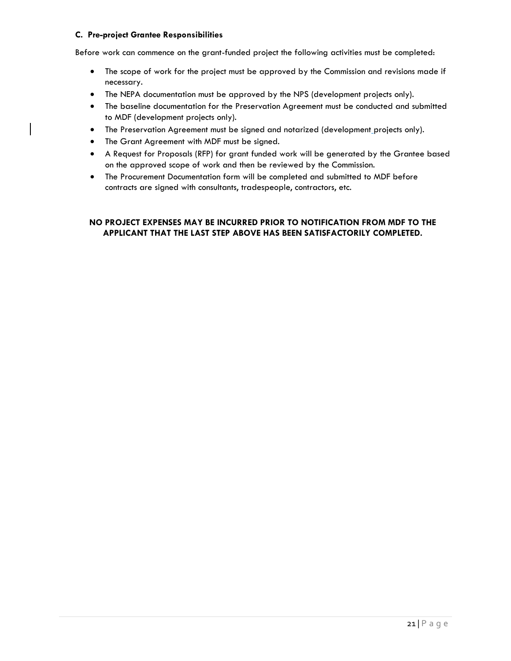#### **C. Pre-project Grantee Responsibilities**

Before work can commence on the grant-funded project the following activities must be completed:

- The scope of work for the project must be approved by the Commission and revisions made if necessary.
- The NEPA documentation must be approved by the NPS (development projects only).
- The baseline documentation for the Preservation Agreement must be conducted and submitted to MDF (development projects only).
- The Preservation Agreement must be signed and notarized (development\_projects only).
- The Grant Agreement with MDF must be signed.
- A Request for Proposals (RFP) for grant funded work will be generated by the Grantee based on the approved scope of work and then be reviewed by the Commission.
- The Procurement Documentation form will be completed and submitted to MDF before contracts are signed with consultants, tradespeople, contractors, etc.

#### **NO PROJECT EXPENSES MAY BE INCURRED PRIOR TO NOTIFICATION FROM MDF TO THE APPLICANT THAT THE LAST STEP ABOVE HAS BEEN SATISFACTORILY COMPLETED.**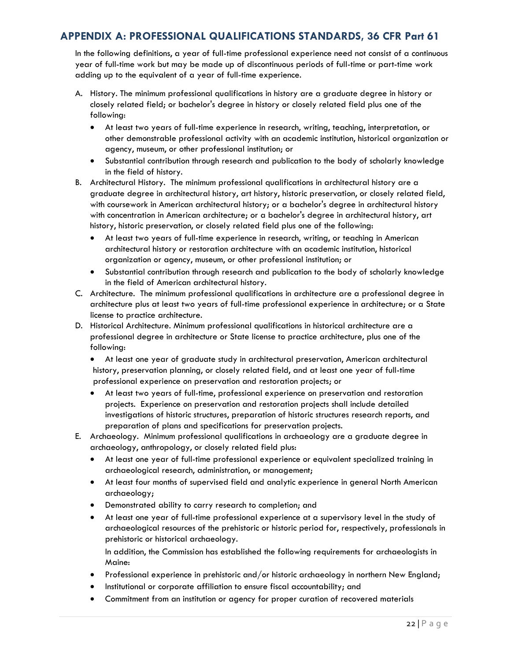### <span id="page-24-0"></span>**APPENDIX A: PROFESSIONAL QUALIFICATIONS STANDARDS, 36 CFR Part 61**

In the following definitions, a year of full-time professional experience need not consist of a continuous year of full-time work but may be made up of discontinuous periods of full-time or part-time work adding up to the equivalent of a year of full-time experience.

- A. History. The minimum professional qualifications in history are a graduate degree in history or closely related field; or bachelor's degree in history or closely related field plus one of the following:
	- At least two years of full-time experience in research, writing, teaching, interpretation, or other demonstrable professional activity with an academic institution, historical organization or agency, museum, or other professional institution; or
	- Substantial contribution through research and publication to the body of scholarly knowledge in the field of history.
- B. Architectural History. The minimum professional qualifications in architectural history are a graduate degree in architectural history, art history, historic preservation, or closely related field, with coursework in American architectural history; or a bachelor's degree in architectural history with concentration in American architecture; or a bachelor's degree in architectural history, art history, historic preservation, or closely related field plus one of the following:
	- At least two years of full-time experience in research, writing, or teaching in American architectural history or restoration architecture with an academic institution, historical organization or agency, museum, or other professional institution; or
	- Substantial contribution through research and publication to the body of scholarly knowledge in the field of American architectural history.
- C. Architecture. The minimum professional qualifications in architecture are a professional degree in architecture plus at least two years of full-time professional experience in architecture; or a State license to practice architecture.
- D. Historical Architecture. Minimum professional qualifications in historical architecture are a professional degree in architecture or State license to practice architecture, plus one of the following:
	- At least one year of graduate study in architectural preservation, American architectural history, preservation planning, or closely related field, and at least one year of full-time professional experience on preservation and restoration projects; or
	- At least two years of full-time, professional experience on preservation and restoration projects. Experience on preservation and restoration projects shall include detailed investigations of historic structures, preparation of historic structures research reports, and preparation of plans and specifications for preservation projects.
- E. Archaeology. Minimum professional qualifications in archaeology are a graduate degree in archaeology, anthropology, or closely related field plus:
	- At least one year of full-time professional experience or equivalent specialized training in archaeological research, administration, or management;
	- At least four months of supervised field and analytic experience in general North American archaeology;
	- Demonstrated ability to carry research to completion; and
	- At least one year of full-time professional experience at a supervisory level in the study of archaeological resources of the prehistoric or historic period for, respectively, professionals in prehistoric or historical archaeology.

In addition, the Commission has established the following requirements for archaeologists in Maine:

- Professional experience in prehistoric and/or historic archaeology in northern New England;
- Institutional or corporate affiliation to ensure fiscal accountability; and
- Commitment from an institution or agency for proper curation of recovered materials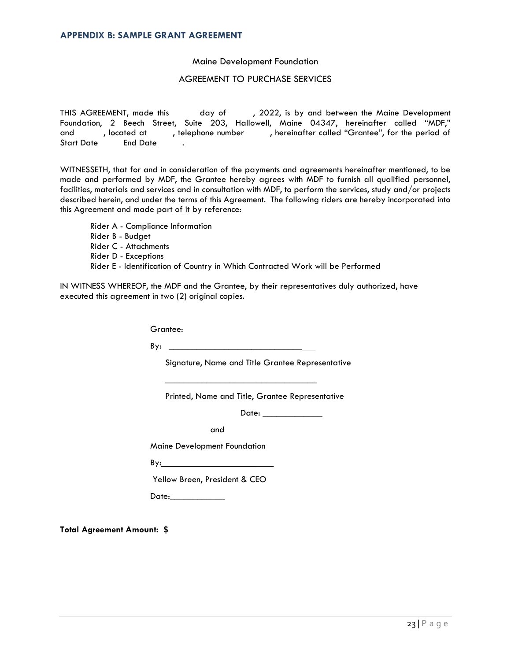#### <span id="page-25-0"></span>**APPENDIX B: SAMPLE GRANT AGREEMENT**

#### Maine Development Foundation

#### AGREEMENT TO PURCHASE SERVICES

THIS AGREEMENT, made this day of , 2022, is by and between the Maine Development Foundation, 2 Beech Street, Suite 203, Hallowell, Maine 04347, hereinafter called "MDF," and , located at , telephone number , hereinafter called "Grantee", for the period of Start Date End Date .

WITNESSETH, that for and in consideration of the payments and agreements hereinafter mentioned, to be made and performed by MDF, the Grantee hereby agrees with MDF to furnish all qualified personnel, facilities, materials and services and in consultation with MDF, to perform the services, study and/or projects described herein, and under the terms of this Agreement. The following riders are hereby incorporated into this Agreement and made part of it by reference:

Rider A - Compliance Information Rider B - Budget Rider C - Attachments Rider D - Exceptions Rider E - Identification of Country in Which Contracted Work will be Performed

IN WITNESS WHEREOF, the MDF and the Grantee, by their representatives duly authorized, have executed this agreement in two (2) original copies.

Grantee:

By: \_\_\_\_\_\_\_\_\_\_\_\_\_\_\_\_\_\_\_\_\_\_\_\_\_\_\_\_\_

Signature, Name and Title Grantee Representative

Printed, Name and Title, Grantee Representative

\_\_\_\_\_\_\_\_\_\_\_\_\_\_\_\_\_\_\_\_\_\_\_\_\_\_\_\_\_\_\_\_\_

Date: \_\_\_\_\_\_\_\_\_\_\_\_\_

and

Maine Development Foundation

 $By:$ 

Yellow Breen, President & CEO

Date:\_\_\_\_\_\_\_\_\_\_\_\_

**Total Agreement Amount: \$**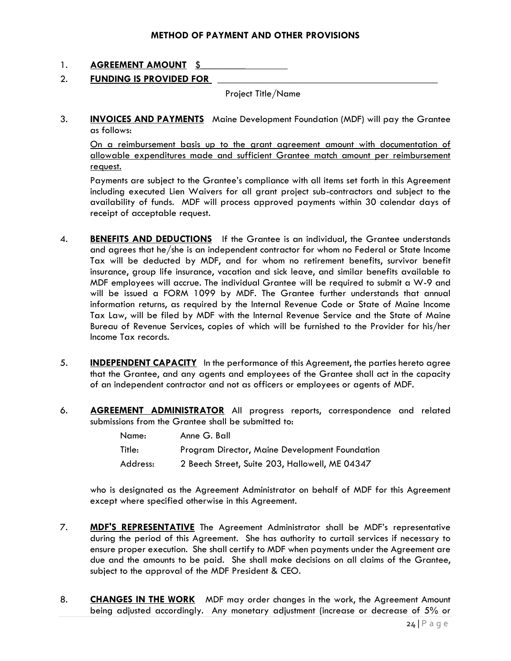#### **METHOD OF PAYMENT AND OTHER PROVISIONS**

#### 1. **AGREEMENT AMOUNT** \$\_\_\_\_\_\_\_\_\_

#### 2. **FUNDING IS PROVIDED FOR**

Project Title/Name

3. **INVOICES AND PAYMENTS** Maine Development Foundation (MDF) will pay the Grantee as follows:

On a reimbursement basis up to the grant agreement amount with documentation of allowable expenditures made and sufficient Grantee match amount per reimbursement request.

Payments are subject to the Grantee's compliance with all items set forth in this Agreement including executed Lien Waivers for all grant project sub-contractors and subject to the availability of funds. MDF will process approved payments within 30 calendar days of receipt of acceptable request.

- 4. **BENEFITS AND DEDUCTIONS** If the Grantee is an individual, the Grantee understands and agrees that he/she is an independent contractor for whom no Federal or State Income Tax will be deducted by MDF, and for whom no retirement benefits, survivor benefit insurance, group life insurance, vacation and sick leave, and similar benefits available to MDF employees will accrue. The individual Grantee will be required to submit a W-9 and will be issued a FORM 1099 by MDF. The Grantee further understands that annual information returns, as required by the Internal Revenue Code or State of Maine Income Tax Law, will be filed by MDF with the Internal Revenue Service and the State of Maine Bureau of Revenue Services, copies of which will be furnished to the Provider for his/her Income Tax records.
- 5. **INDEPENDENT CAPACITY** In the performance of this Agreement, the parties hereto agree that the Grantee, and any agents and employees of the Grantee shall act in the capacity of an independent contractor and not as officers or employees or agents of MDF.
- 6. **AGREEMENT ADMINISTRATOR** All progress reports, correspondence and related submissions from the Grantee shall be submitted to:

| Name:    | Anne G. Ball                                   |
|----------|------------------------------------------------|
| Title:   | Program Director, Maine Development Foundation |
| Address: | 2 Beech Street, Suite 203, Hallowell, ME 04347 |

who is designated as the Agreement Administrator on behalf of MDF for this Agreement except where specified otherwise in this Agreement.

- 7. **MDF'S REPRESENTATIVE** The Agreement Administrator shall be MDF's representative during the period of this Agreement. She has authority to curtail services if necessary to ensure proper execution. She shall certify to MDF when payments under the Agreement are due and the amounts to be paid. She shall make decisions on all claims of the Grantee, subject to the approval of the MDF President & CEO.
- 8. **CHANGES IN THE WORK** MDF may order changes in the work, the Agreement Amount being adjusted accordingly. Any monetary adjustment (increase or decrease of 5% or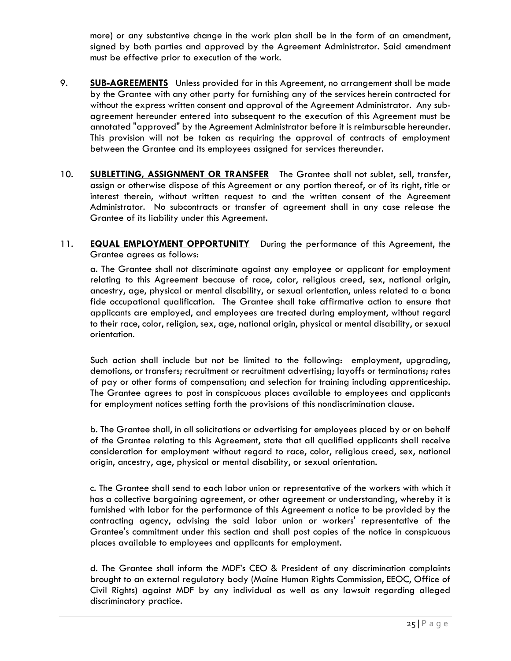more) or any substantive change in the work plan shall be in the form of an amendment, signed by both parties and approved by the Agreement Administrator. Said amendment must be effective prior to execution of the work.

- 9. **SUB-AGREEMENTS** Unless provided for in this Agreement, no arrangement shall be made by the Grantee with any other party for furnishing any of the services herein contracted for without the express written consent and approval of the Agreement Administrator. Any subagreement hereunder entered into subsequent to the execution of this Agreement must be annotated "approved" by the Agreement Administrator before it is reimbursable hereunder. This provision will not be taken as requiring the approval of contracts of employment between the Grantee and its employees assigned for services thereunder.
- 10. **SUBLETTING, ASSIGNMENT OR TRANSFER** The Grantee shall not sublet, sell, transfer, assign or otherwise dispose of this Agreement or any portion thereof, or of its right, title or interest therein, without written request to and the written consent of the Agreement Administrator. No subcontracts or transfer of agreement shall in any case release the Grantee of its liability under this Agreement.
- 11. **EQUAL EMPLOYMENT OPPORTUNITY** During the performance of this Agreement, the Grantee agrees as follows:

a. The Grantee shall not discriminate against any employee or applicant for employment relating to this Agreement because of race, color, religious creed, sex, national origin, ancestry, age, physical or mental disability, or sexual orientation, unless related to a bona fide occupational qualification. The Grantee shall take affirmative action to ensure that applicants are employed, and employees are treated during employment, without regard to their race, color, religion, sex, age, national origin, physical or mental disability, or sexual orientation.

Such action shall include but not be limited to the following: employment, upgrading, demotions, or transfers; recruitment or recruitment advertising; layoffs or terminations; rates of pay or other forms of compensation; and selection for training including apprenticeship. The Grantee agrees to post in conspicuous places available to employees and applicants for employment notices setting forth the provisions of this nondiscrimination clause.

b. The Grantee shall, in all solicitations or advertising for employees placed by or on behalf of the Grantee relating to this Agreement, state that all qualified applicants shall receive consideration for employment without regard to race, color, religious creed, sex, national origin, ancestry, age, physical or mental disability, or sexual orientation.

c. The Grantee shall send to each labor union or representative of the workers with which it has a collective bargaining agreement, or other agreement or understanding, whereby it is furnished with labor for the performance of this Agreement a notice to be provided by the contracting agency, advising the said labor union or workers' representative of the Grantee's commitment under this section and shall post copies of the notice in conspicuous places available to employees and applicants for employment.

d. The Grantee shall inform the MDF's CEO & President of any discrimination complaints brought to an external regulatory body (Maine Human Rights Commission, EEOC, Office of Civil Rights) against MDF by any individual as well as any lawsuit regarding alleged discriminatory practice.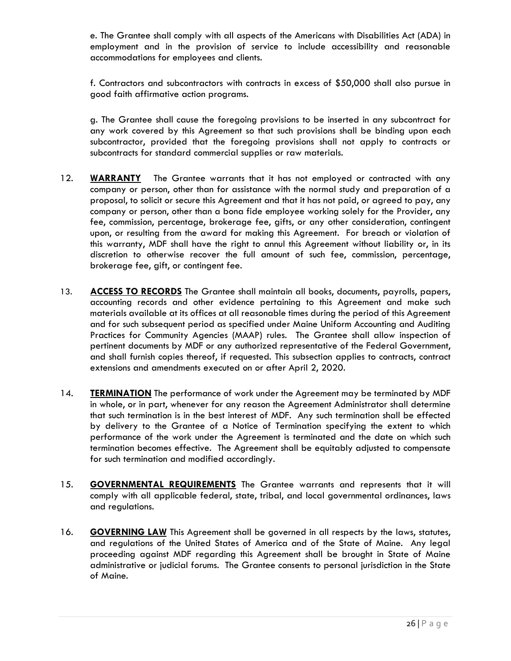e. The Grantee shall comply with all aspects of the Americans with Disabilities Act (ADA) in employment and in the provision of service to include accessibility and reasonable accommodations for employees and clients.

f. Contractors and subcontractors with contracts in excess of \$50,000 shall also pursue in good faith affirmative action programs.

g. The Grantee shall cause the foregoing provisions to be inserted in any subcontract for any work covered by this Agreement so that such provisions shall be binding upon each subcontractor, provided that the foregoing provisions shall not apply to contracts or subcontracts for standard commercial supplies or raw materials.

- 12. **WARRANTY** The Grantee warrants that it has not employed or contracted with any company or person, other than for assistance with the normal study and preparation of a proposal, to solicit or secure this Agreement and that it has not paid, or agreed to pay, any company or person, other than a bona fide employee working solely for the Provider, any fee, commission, percentage, brokerage fee, gifts, or any other consideration, contingent upon, or resulting from the award for making this Agreement. For breach or violation of this warranty, MDF shall have the right to annul this Agreement without liability or, in its discretion to otherwise recover the full amount of such fee, commission, percentage, brokerage fee, gift, or contingent fee.
- 13. **ACCESS TO RECORDS** The Grantee shall maintain all books, documents, payrolls, papers, accounting records and other evidence pertaining to this Agreement and make such materials available at its offices at all reasonable times during the period of this Agreement and for such subsequent period as specified under Maine Uniform Accounting and Auditing Practices for Community Agencies (MAAP) rules. The Grantee shall allow inspection of pertinent documents by MDF or any authorized representative of the Federal Government, and shall furnish copies thereof, if requested. This subsection applies to contracts, contract extensions and amendments executed on or after April 2, 2020.
- 14. **TERMINATION** The performance of work under the Agreement may be terminated by MDF in whole, or in part, whenever for any reason the Agreement Administrator shall determine that such termination is in the best interest of MDF. Any such termination shall be effected by delivery to the Grantee of a Notice of Termination specifying the extent to which performance of the work under the Agreement is terminated and the date on which such termination becomes effective. The Agreement shall be equitably adjusted to compensate for such termination and modified accordingly.
- 15. **GOVERNMENTAL REQUIREMENTS** The Grantee warrants and represents that it will comply with all applicable federal, state, tribal, and local governmental ordinances, laws and regulations.
- 16. **GOVERNING LAW** This Agreement shall be governed in all respects by the laws, statutes, and regulations of the United States of America and of the State of Maine. Any legal proceeding against MDF regarding this Agreement shall be brought in State of Maine administrative or judicial forums. The Grantee consents to personal jurisdiction in the State of Maine.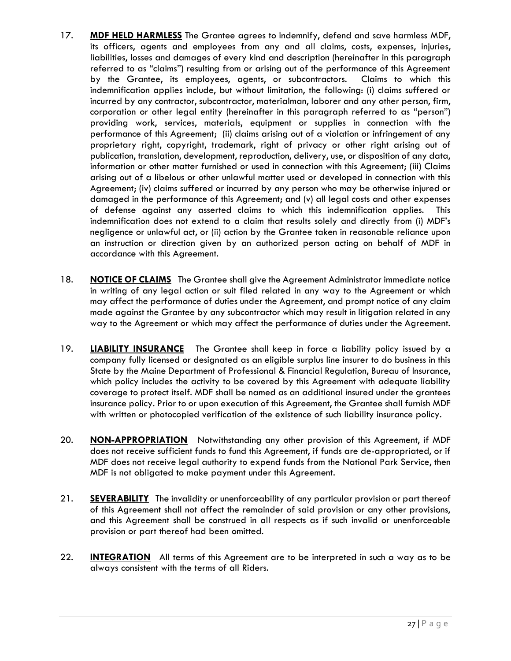- 17. **MDF HELD HARMLESS** The Grantee agrees to indemnify, defend and save harmless MDF, its officers, agents and employees from any and all claims, costs, expenses, injuries, liabilities, losses and damages of every kind and description (hereinafter in this paragraph referred to as "claims") resulting from or arising out of the performance of this Agreement by the Grantee, its employees, agents, or subcontractors. Claims to which this indemnification applies include, but without limitation, the following: (i) claims suffered or incurred by any contractor, subcontractor, materialman, laborer and any other person, firm, corporation or other legal entity (hereinafter in this paragraph referred to as "person") providing work, services, materials, equipment or supplies in connection with the performance of this Agreement; (ii) claims arising out of a violation or infringement of any proprietary right, copyright, trademark, right of privacy or other right arising out of publication, translation, development, reproduction, delivery, use, or disposition of any data, information or other matter furnished or used in connection with this Agreement; (iii) Claims arising out of a libelous or other unlawful matter used or developed in connection with this Agreement; (iv) claims suffered or incurred by any person who may be otherwise injured or damaged in the performance of this Agreement; and (v) all legal costs and other expenses of defense against any asserted claims to which this indemnification applies. This indemnification does not extend to a claim that results solely and directly from (i) MDF's negligence or unlawful act, or (ii) action by the Grantee taken in reasonable reliance upon an instruction or direction given by an authorized person acting on behalf of MDF in accordance with this Agreement.
- 18. **NOTICE OF CLAIMS** The Grantee shall give the Agreement Administrator immediate notice in writing of any legal action or suit filed related in any way to the Agreement or which may affect the performance of duties under the Agreement, and prompt notice of any claim made against the Grantee by any subcontractor which may result in litigation related in any way to the Agreement or which may affect the performance of duties under the Agreement.
- 19. **LIABILITY INSURANCE** The Grantee shall keep in force a liability policy issued by a company fully licensed or designated as an eligible surplus line insurer to do business in this State by the Maine Department of Professional & Financial Regulation, Bureau of Insurance, which policy includes the activity to be covered by this Agreement with adequate liability coverage to protect itself. MDF shall be named as an additional insured under the grantees insurance policy. Prior to or upon execution of this Agreement, the Grantee shall furnish MDF with written or photocopied verification of the existence of such liability insurance policy.
- 20. **NON-APPROPRIATION** Notwithstanding any other provision of this Agreement, if MDF does not receive sufficient funds to fund this Agreement, if funds are de-appropriated, or if MDF does not receive legal authority to expend funds from the National Park Service, then MDF is not obligated to make payment under this Agreement.
- 21. **SEVERABILITY** The invalidity or unenforceability of any particular provision or part thereof of this Agreement shall not affect the remainder of said provision or any other provisions, and this Agreement shall be construed in all respects as if such invalid or unenforceable provision or part thereof had been omitted.
- 22. **INTEGRATION** All terms of this Agreement are to be interpreted in such a way as to be always consistent with the terms of all Riders.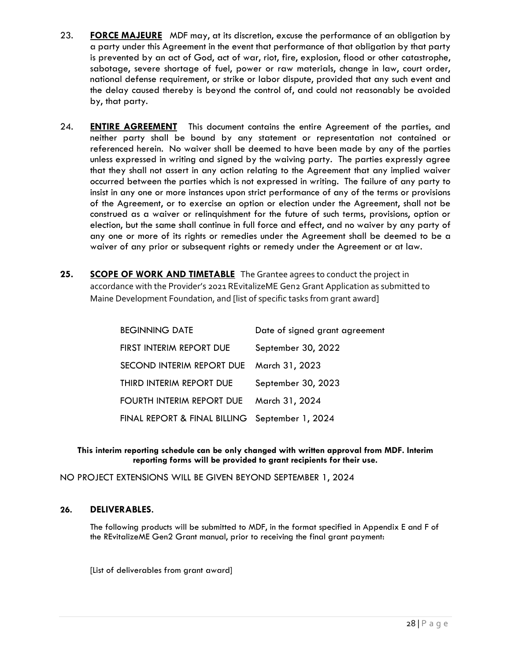- 23. **FORCE MAJEURE** MDF may, at its discretion, excuse the performance of an obligation by a party under this Agreement in the event that performance of that obligation by that party is prevented by an act of God, act of war, riot, fire, explosion, flood or other catastrophe, sabotage, severe shortage of fuel, power or raw materials, change in law, court order, national defense requirement, or strike or labor dispute, provided that any such event and the delay caused thereby is beyond the control of, and could not reasonably be avoided by, that party.
- 24. **ENTIRE AGREEMENT** This document contains the entire Agreement of the parties, and neither party shall be bound by any statement or representation not contained or referenced herein. No waiver shall be deemed to have been made by any of the parties unless expressed in writing and signed by the waiving party. The parties expressly agree that they shall not assert in any action relating to the Agreement that any implied waiver occurred between the parties which is not expressed in writing. The failure of any party to insist in any one or more instances upon strict performance of any of the terms or provisions of the Agreement, or to exercise an option or election under the Agreement, shall not be construed as a waiver or relinquishment for the future of such terms, provisions, option or election, but the same shall continue in full force and effect, and no waiver by any party of any one or more of its rights or remedies under the Agreement shall be deemed to be a waiver of any prior or subsequent rights or remedy under the Agreement or at law.
- 25. **SCOPE OF WORK AND TIMETABLE** The Grantee agrees to conduct the project in accordance with the Provider's 2021 REvitalizeME Gen2 Grant Application as submitted to Maine Development Foundation, and [list of specific tasks from grant award]

| <b>BEGINNING DATE</b>                          | Date of signed grant agreement |
|------------------------------------------------|--------------------------------|
| FIRST INTERIM REPORT DUE                       | September 30, 2022             |
| SECOND INTERIM REPORT DUE March 31, 2023       |                                |
| THIRD INTERIM REPORT DUE                       | September 30, 2023             |
| FOURTH INTERIM REPORT DUE                      | March 31, 2024                 |
| FINAL REPORT & FINAL BILLING September 1, 2024 |                                |

#### **This interim reporting schedule can be only changed with written approval from MDF. Interim reporting forms will be provided to grant recipients for their use.**

NO PROJECT EXTENSIONS WILL BE GIVEN BEYOND SEPTEMBER 1, 2024

#### **26. DELIVERABLES.**

The following products will be submitted to MDF, in the format specified in Appendix E and F of the REvitalizeME Gen2 Grant manual, prior to receiving the final grant payment:

[List of deliverables from grant award]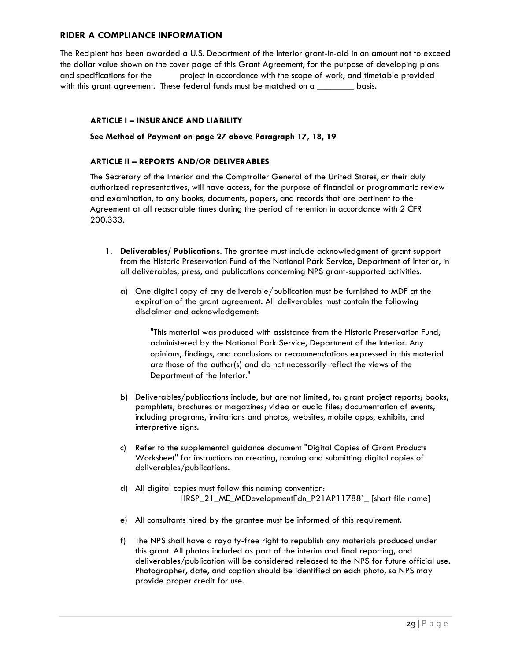#### **RIDER A COMPLIANCE INFORMATION**

The Recipient has been awarded a U.S. Department of the Interior grant-in-aid in an amount not to exceed the dollar value shown on the cover page of this Grant Agreement, for the purpose of developing plans and specifications for the project in accordance with the scope of work, and timetable provided with this grant agreement. These federal funds must be matched on a \_\_\_\_\_\_\_\_\_\_ basis.

#### **ARTICLE I – INSURANCE AND LIABILITY**

#### **See Method of Payment on page 27 above Paragraph 17, 18, 19**

#### **ARTICLE II – REPORTS AND/OR DELIVERABLES**

The Secretary of the Interior and the Comptroller General of the United States, or their duly authorized representatives, will have access, for the purpose of financial or programmatic review and examination, to any books, documents, papers, and records that are pertinent to the Agreement at all reasonable times during the period of retention in accordance with 2 CFR 200.333.

- 1. **Deliverables/ Publications**. The grantee must include acknowledgment of grant support from the Historic Preservation Fund of the National Park Service, Department of Interior, in all deliverables, press, and publications concerning NPS grant-supported activities.
	- a) One digital copy of any deliverable/publication must be furnished to MDF at the expiration of the grant agreement. All deliverables must contain the following disclaimer and acknowledgement:

"This material was produced with assistance from the Historic Preservation Fund, administered by the National Park Service, Department of the Interior. Any opinions, findings, and conclusions or recommendations expressed in this material are those of the author(s) and do not necessarily reflect the views of the Department of the Interior."

- b) Deliverables/publications include, but are not limited, to: grant project reports; books, pamphlets, brochures or magazines; video or audio files; documentation of events, including programs, invitations and photos, websites, mobile apps, exhibits, and interpretive signs.
- c) Refer to the supplemental guidance document "Digital Copies of Grant Products Worksheet" for instructions on creating, naming and submitting digital copies of deliverables/publications.
- d) All digital copies must follow this naming convention: HRSP\_21\_ME\_MEDevelopmentFdn\_P21AP11788`\_ [short file name]
- e) All consultants hired by the grantee must be informed of this requirement.
- f) The NPS shall have a royalty-free right to republish any materials produced under this grant. All photos included as part of the interim and final reporting, and deliverables/publication will be considered released to the NPS for future official use. Photographer, date, and caption should be identified on each photo, so NPS may provide proper credit for use.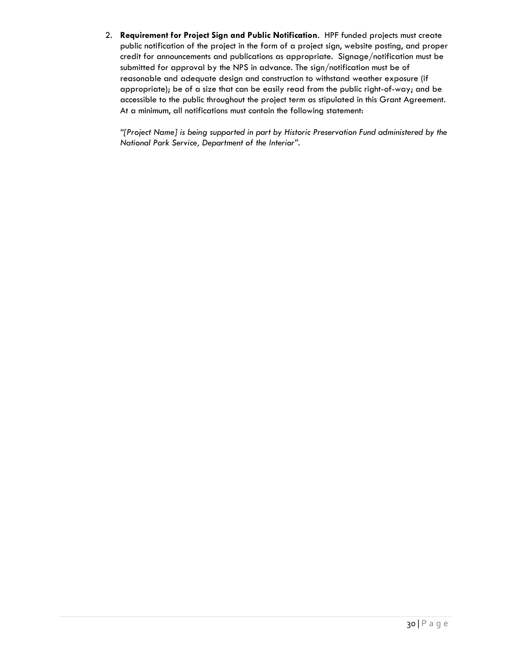2. **Requirement for Project Sign and Public Notification**. HPF funded projects must create public notification of the project in the form of a project sign, website posting, and proper credit for announcements and publications as appropriate. Signage/notification must be submitted for approval by the NPS in advance. The sign/notification must be of reasonable and adequate design and construction to withstand weather exposure (if appropriate); be of a size that can be easily read from the public right-of-way; and be accessible to the public throughout the project term as stipulated in this Grant Agreement. At a minimum, all notifications must contain the following statement:

*"[Project Name] is being supported in part by Historic Preservation Fund administered by the National Park Service, Department of the Interior".*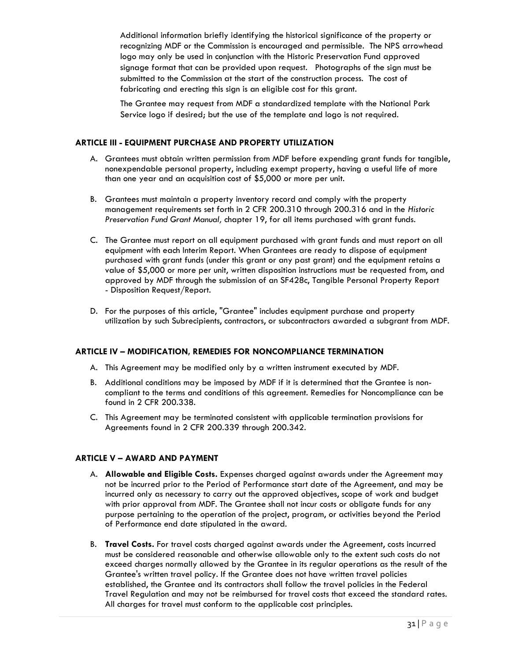Additional information briefly identifying the historical significance of the property or recognizing MDF or the Commission is encouraged and permissible. The NPS arrowhead logo may only be used in conjunction with the Historic Preservation Fund approved signage format that can be provided upon request. Photographs of the sign must be submitted to the Commission at the start of the construction process. The cost of fabricating and erecting this sign is an eligible cost for this grant.

The Grantee may request from MDF a standardized template with the National Park Service logo if desired; but the use of the template and logo is not required.

#### **ARTICLE III - EQUIPMENT PURCHASE AND PROPERTY UTILIZATION**

- A. Grantees must obtain written permission from MDF before expending grant funds for tangible, nonexpendable personal property, including exempt property, having a useful life of more than one year and an acquisition cost of \$5,000 or more per unit.
- B. Grantees must maintain a property inventory record and comply with the property management requirements set forth in 2 CFR 200.310 through 200.316 and in the *Historic Preservation Fund Grant Manual,* chapter 19, for all items purchased with grant funds.
- C. The Grantee must report on all equipment purchased with grant funds and must report on all equipment with each Interim Report. When Grantees are ready to dispose of equipment purchased with grant funds (under this grant or any past grant) and the equipment retains a value of \$5,000 or more per unit, written disposition instructions must be requested from, and approved by MDF through the submission of an SF428c, Tangible Personal Property Report - Disposition Request/Report.
- D. For the purposes of this article, "Grantee" includes equipment purchase and property utilization by such Subrecipients, contractors, or subcontractors awarded a subgrant from MDF.

#### **ARTICLE IV – MODIFICATION, REMEDIES FOR NONCOMPLIANCE TERMINATION**

- A. This Agreement may be modified only by a written instrument executed by MDF.
- B. Additional conditions may be imposed by MDF if it is determined that the Grantee is noncompliant to the terms and conditions of this agreement. Remedies for Noncompliance can be found in 2 CFR 200.338.
- C. This Agreement may be terminated consistent with applicable termination provisions for Agreements found in 2 CFR 200.339 through 200.342.

#### **ARTICLE V – AWARD AND PAYMENT**

- A. **Allowable and Eligible Costs.** Expenses charged against awards under the Agreement may not be incurred prior to the Period of Performance start date of the Agreement, and may be incurred only as necessary to carry out the approved objectives, scope of work and budget with prior approval from MDF. The Grantee shall not incur costs or obligate funds for any purpose pertaining to the operation of the project, program, or activities beyond the Period of Performance end date stipulated in the award.
- B. **Travel Costs.** For travel costs charged against awards under the Agreement, costs incurred must be considered reasonable and otherwise allowable only to the extent such costs do not exceed charges normally allowed by the Grantee in its regular operations as the result of the Grantee's written travel policy. If the Grantee does not have written travel policies established, the Grantee and its contractors shall follow the travel policies in the Federal Travel Regulation and may not be reimbursed for travel costs that exceed the standard rates. All charges for travel must conform to the applicable cost principles.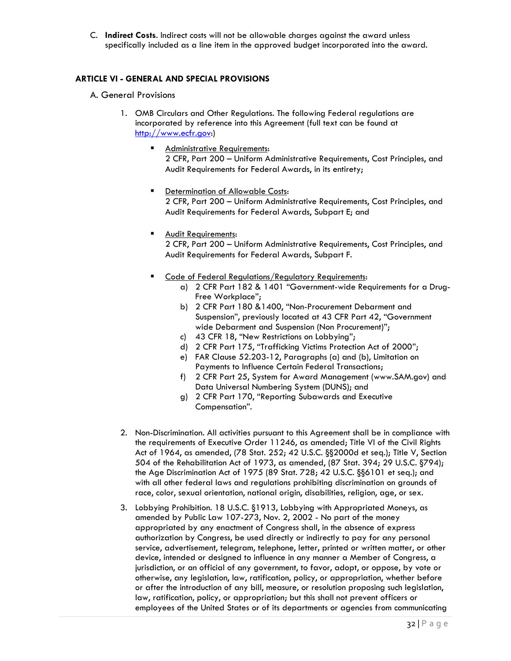C. **Indirect Costs**. Indirect costs will not be allowable charges against the award unless specifically included as a line item in the approved budget incorporated into the award.

#### **ARTICLE VI - GENERAL AND SPECIAL PROVISIONS**

- A. General Provisions
	- 1. OMB Circulars and Other Regulations. The following Federal regulations are incorporated by reference into this Agreement (full text can be found at [http://www.ecfr.gov:](http://www.ecfr.gov/))
		- Administrative Requirements: 2 CFR, Part 200 – Uniform Administrative Requirements, Cost Principles, and Audit Requirements for Federal Awards, in its entirety;
		- Determination of Allowable Costs: 2 CFR, Part 200 – Uniform Administrative Requirements, Cost Principles, and Audit Requirements for Federal Awards, Subpart E; and
			- **Audit Requirements:** 2 CFR, Part 200 – Uniform Administrative Requirements, Cost Principles, and Audit Requirements for Federal Awards, Subpart F.
		- Code of Federal Regulations/Regulatory Requirements:
			- a) [2 CFR Part 182 & 1401 "Government](http://ecfr.gpoaccess.gov/cgi/t/text/text-idx?c=ecfr&sid=50ff52492b15ab863ba3653823139c4e&tpl=/ecfrbrowse/Title43/43cfr43_main_02.tpl)-wide Requirements for a Drug-[Free Workplace](http://ecfr.gpoaccess.gov/cgi/t/text/text-idx?c=ecfr&sid=50ff52492b15ab863ba3653823139c4e&tpl=/ecfrbrowse/Title43/43cfr43_main_02.tpl)";
			- b) 2 CFR Part 180 &1400, "Non-Procurement Debarment and Suspension", previously located at 43 CFR Part 42, "Government wide Debarment and Suspension (Non Procurement)";
			- c) [43 CFR 18, "New Restrictions on Lobbying"](http://ecfr.gpoaccess.gov/cgi/t/text/text-idx?c=ecfr&sid=50ff52492b15ab863ba3653823139c4e&tpl=/ecfrbrowse/Title43/43cfr18_main_02.tpl);
			- d) [2 CFR Part 175, "Trafficking Victims Protection Act of 2000"](http://www.whitehouse.gov/omb/memoranda/fy2008/m08-03.pdf);
			- e) FAR Clause 52.203-12, Paragraphs (a) and (b), Limitation on Payments to Influence Certain Federal Transactions;
			- f) 2 CFR Part 25, System for Award Management (www.SAM.gov) and Data Universal Numbering System (DUNS); and
			- g) 2 CFR Part 170, "Reporting Subawards and Executive Compensation".
	- 2. Non-Discrimination. All activities pursuant to this Agreement shall be in compliance with the requirements of Executive Order 11246, as amended; Title VI of the Civil Rights Act of 1964, as amended, (78 Stat. 252; 42 U.S.C. §§2000d et seq.); Title V, Section 504 of the Rehabilitation Act of 1973, as amended, (87 Stat. 394; 29 U.S.C. §794); the Age Discrimination Act of 1975 (89 Stat. 728; 42 U.S.C. §§6101 et seq.); and with all other federal laws and regulations prohibiting discrimination on grounds of race, color, sexual orientation, national origin, disabilities, religion, age, or sex.
	- 3. Lobbying Prohibition. 18 U.S.C. §1913, Lobbying with Appropriated Moneys, as amended by Public Law 107-273, Nov. 2, 2002 - No part of the money appropriated by any enactment of Congress shall, in the absence of express authorization by Congress, be used directly or indirectly to pay for any personal service, advertisement, telegram, telephone, letter, printed or written matter, or other device, intended or designed to influence in any manner a Member of Congress, a jurisdiction, or an official of any government, to favor, adopt, or oppose, by vote or otherwise, any legislation, law, ratification, policy, or appropriation, whether before or after the introduction of any bill, measure, or resolution proposing such legislation, law, ratification, policy, or appropriation; but this shall not prevent officers or employees of the United States or of its departments or agencies from communicating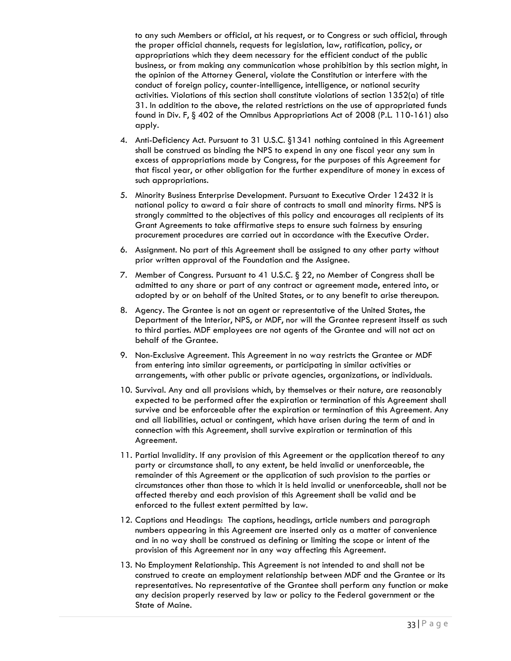to any such Members or official, at his request, or to Congress or such official, through the proper official channels, requests for legislation, law, ratification, policy, or appropriations which they deem necessary for the efficient conduct of the public business, or from making any communication whose prohibition by this section might, in the opinion of the Attorney General, violate the Constitution or interfere with the conduct of foreign policy, counter-intelligence, intelligence, or national security activities. Violations of this section shall constitute violations of section 1352(a) of title 31. In addition to the above, the related restrictions on the use of appropriated funds found in Div. F, § 402 of the Omnibus Appropriations Act of 2008 (P.L. 110-161) also apply.

- 4. Anti-Deficiency Act. Pursuant to 31 U.S.C. §1341 nothing contained in this Agreement shall be construed as binding the NPS to expend in any one fiscal year any sum in excess of appropriations made by Congress, for the purposes of this Agreement for that fiscal year, or other obligation for the further expenditure of money in excess of such appropriations.
- 5. Minority Business Enterprise Development. Pursuant to Executive Order 12432 it is national policy to award a fair share of contracts to small and minority firms. NPS is strongly committed to the objectives of this policy and encourages all recipients of its Grant Agreements to take affirmative steps to ensure such fairness by ensuring procurement procedures are carried out in accordance with the Executive Order.
- 6. Assignment. No part of this Agreement shall be assigned to any other party without prior written approval of the Foundation and the Assignee.
- 7. Member of Congress. Pursuant to 41 U.S.C. § 22, no Member of Congress shall be admitted to any share or part of any contract or agreement made, entered into, or adopted by or on behalf of the United States, or to any benefit to arise thereupon.
- 8. Agency. The Grantee is not an agent or representative of the United States, the Department of the Interior, NPS, or MDF, nor will the Grantee represent itsself as such to third parties. MDF employees are not agents of the Grantee and will not act on behalf of the Grantee.
- 9. Non-Exclusive Agreement. This Agreement in no way restricts the Grantee or MDF from entering into similar agreements, or participating in similar activities or arrangements, with other public or private agencies, organizations, or individuals.
- 10. Survival. Any and all provisions which, by themselves or their nature, are reasonably expected to be performed after the expiration or termination of this Agreement shall survive and be enforceable after the expiration or termination of this Agreement. Any and all liabilities, actual or contingent, which have arisen during the term of and in connection with this Agreement, shall survive expiration or termination of this Agreement.
- 11. Partial Invalidity. If any provision of this Agreement or the application thereof to any party or circumstance shall, to any extent, be held invalid or unenforceable, the remainder of this Agreement or the application of such provision to the parties or circumstances other than those to which it is held invalid or unenforceable, shall not be affected thereby and each provision of this Agreement shall be valid and be enforced to the fullest extent permitted by law.
- 12. Captions and Headings: The captions, headings, article numbers and paragraph numbers appearing in this Agreement are inserted only as a matter of convenience and in no way shall be construed as defining or limiting the scope or intent of the provision of this Agreement nor in any way affecting this Agreement.
- 13. No Employment Relationship. This Agreement is not intended to and shall not be construed to create an employment relationship between MDF and the Grantee or its representatives. No representative of the Grantee shall perform any function or make any decision properly reserved by law or policy to the Federal government or the State of Maine.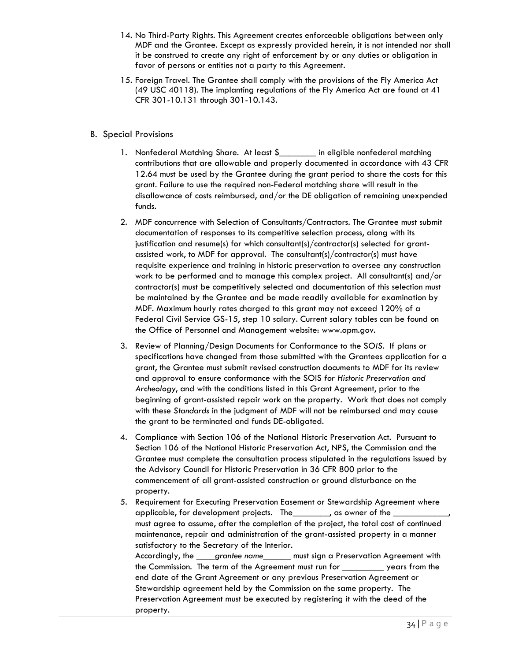- 14. No Third-Party Rights. This Agreement creates enforceable obligations between only MDF and the Grantee. Except as expressly provided herein, it is not intended nor shall it be construed to create any right of enforcement by or any duties or obligation in favor of persons or entities not a party to this Agreement.
- 15. Foreign Travel. The Grantee shall comply with the provisions of the Fly America Act (49 USC 40118). The implanting regulations of the Fly America Act are found at 41 CFR 301-10.131 through 301-10.143.

#### B. Special Provisions

- 1. Nonfederal Matching Share. At least \$\_\_\_\_\_\_\_ in eligible nonfederal matching contributions that are allowable and properly documented in accordance with 43 CFR 12.64 must be used by the Grantee during the grant period to share the costs for this grant. Failure to use the required non-Federal matching share will result in the disallowance of costs reimbursed, and/or the DE obligation of remaining unexpended funds.
- 2. MDF concurrence with Selection of Consultants/Contractors. The Grantee must submit documentation of responses to its competitive selection process, along with its justification and resume(s) for which consultant(s)/contractor(s) selected for grantassisted work, to MDF for approval. The consultant(s)/contractor(s) must have requisite experience and training in historic preservation to oversee any construction work to be performed and to manage this complex project. All consultant(s) and/or contractor(s) must be competitively selected and documentation of this selection must be maintained by the Grantee and be made readily available for examination by MDF. Maximum hourly rates charged to this grant may not exceed 120% of a Federal Civil Service GS-15, step 10 salary. Current salary tables can be found on the Office of Personnel and Management website: [www.opm.gov.](http://www.opm.gov/)
- 3. Review of Planning/Design Documents for Conformance to the S*OIS*. If plans or specifications have changed from those submitted with the Grantees application for a grant, the Grantee must submit revised construction documents to MDF for its review and approval to ensure conformance with the SOIS *for Historic Preservation and Archeology*, and with the conditions listed in this Grant Agreement, prior to the beginning of grant-assisted repair work on the property. Work that does not comply with these *Standards* in the judgment of MDF will not be reimbursed and may cause the grant to be terminated and funds DE-obligated.
- 4. Compliance with Section 106 of the National Historic Preservation Act. Pursuant to Section 106 of the National Historic Preservation Act, NPS, the Commission and the Grantee must complete the consultation process stipulated in the regulations issued by the Advisory Council for Historic Preservation in 36 CFR 800 prior to the commencement of all grant-assisted construction or ground disturbance on the property.
- 5. Requirement for Executing Preservation Easement or Stewardship Agreement where applicable, for development projects. The \_\_\_\_\_\_\_\_, as owner of the must agree to assume, after the completion of the project, the total cost of continued maintenance, repair and administration of the grant-assisted property in a manner satisfactory to the Secretary of the Interior. Accordingly, the \_\_\_\_*grantee name*\_\_\_\_\_\_ must sign a Preservation Agreement with the Commission. The term of the Agreement must run for \_\_\_\_\_\_\_\_\_ years from the end date of the Grant Agreement or any previous Preservation Agreement or Stewardship agreement held by the Commission on the same property. The Preservation Agreement must be executed by registering it with the deed of the property.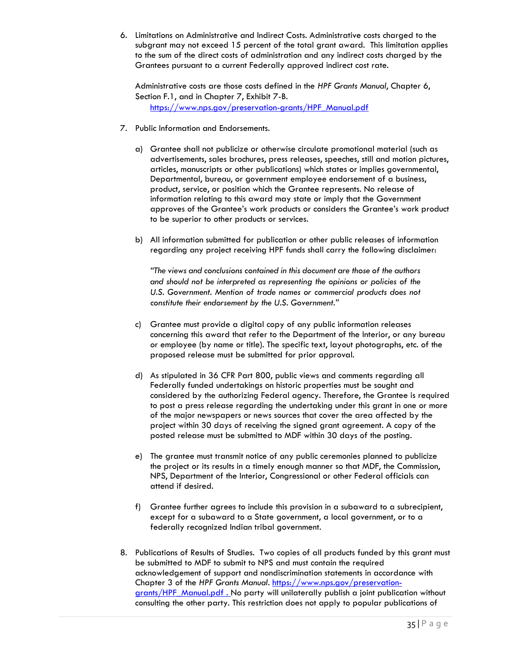6. Limitations on Administrative and Indirect Costs. Administrative costs charged to the subgrant may not exceed 15 percent of the total grant award. This limitation applies to the sum of the direct costs of administration and any indirect costs charged by the Grantees pursuant to a current Federally approved indirect cost rate.

Administrative costs are those costs defined in the *HPF Grants Manual*, Chapter 6, Section F.1, and in Chapter 7, Exhibit 7-B. [https://www.nps.gov/preservation-grants/HPF\\_Manual.pdf](https://www.nps.gov/preservation-grants/HPF_Manual.pdf)

- 7. Public Information and Endorsements.
	- a) Grantee shall not publicize or otherwise circulate promotional material (such as advertisements, sales brochures, press releases, speeches, still and motion pictures, articles, manuscripts or other publications) which states or implies governmental, Departmental, bureau, or government employee endorsement of a business, product, service, or position which the Grantee represents. No release of information relating to this award may state or imply that the Government approves of the Grantee's work products or considers the Grantee's work product to be superior to other products or services.
	- b) All information submitted for publication or other public releases of information regarding any project receiving HPF funds shall carry the following disclaimer:

*"The views and conclusions contained in this document are those of the authors and should not be interpreted as representing the opinions or policies of the*  U.S. Government. Mention of trade names or commercial products does not *constitute their endorsement by the U.S. Government."*

- c) Grantee must provide a digital copy of any public information releases concerning this award that refer to the Department of the Interior, or any bureau or employee (by name or title). The specific text, layout photographs, etc. of the proposed release must be submitted for prior approval.
- d) As stipulated in 36 CFR Part 800, public views and comments regarding all Federally funded undertakings on historic properties must be sought and considered by the authorizing Federal agency. Therefore, the Grantee is required to post a press release regarding the undertaking under this grant in one or more of the major newspapers or news sources that cover the area affected by the project within 30 days of receiving the signed grant agreement. A copy of the posted release must be submitted to MDF within 30 days of the posting.
- e) The grantee must transmit notice of any public ceremonies planned to publicize the project or its results in a timely enough manner so that MDF, the Commission, NPS, Department of the Interior, Congressional or other Federal officials can attend if desired.
- f) Grantee further agrees to include this provision in a subaward to a subrecipient, except for a subaward to a State government, a local government, or to a federally recognized Indian tribal government.
- 8. Publications of Results of Studies. Two copies of all products funded by this grant must be submitted to MDF to submit to NPS and must contain the required acknowledgement of support and nondiscrimination statements in accordance with Chapter 3 of the *HPF Grants Manual*. [https://www.nps.gov/preservation](https://www.nps.gov/preservation-grants/HPF_Manual.pdf)[grants/HPF\\_Manual.pdf](https://www.nps.gov/preservation-grants/HPF_Manual.pdf). No party will unilaterally publish a joint publication without consulting the other party. This restriction does not apply to popular publications of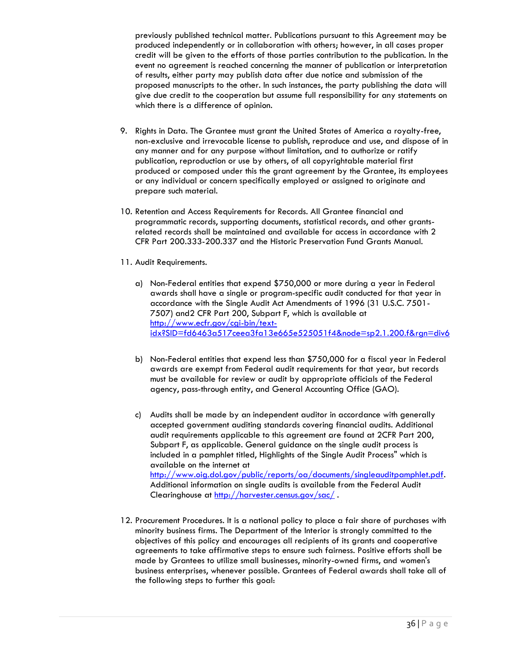previously published technical matter. Publications pursuant to this Agreement may be produced independently or in collaboration with others; however, in all cases proper credit will be given to the efforts of those parties contribution to the publication. In the event no agreement is reached concerning the manner of publication or interpretation of results, either party may publish data after due notice and submission of the proposed manuscripts to the other. In such instances, the party publishing the data will give due credit to the cooperation but assume full responsibility for any statements on which there is a difference of opinion.

- 9. Rights in Data. The Grantee must grant the United States of America a royalty-free, non-exclusive and irrevocable license to publish, reproduce and use, and dispose of in any manner and for any purpose without limitation, and to authorize or ratify publication, reproduction or use by others, of all copyrightable material first produced or composed under this the grant agreement by the Grantee, its employees or any individual or concern specifically employed or assigned to originate and prepare such material.
- 10. Retention and Access Requirements for Records. All Grantee financial and programmatic records, supporting documents, statistical records, and other grantsrelated records shall be maintained and available for access in accordance with 2 CFR Part 200.333-200.337 and the Historic Preservation Fund Grants Manual.
- 11. Audit Requirements.
	- a) Non-Federal entities that expend \$750,000 or more during a year in Federal awards shall have a single or program-specific audit conducted for that year in accordance with the Single Audit Act Amendments of 1996 (31 U.S.C. 7501- 7507) and2 CFR Part 200, Subpart F, which is available at [http://www.ecfr.gov/cgi-bin/text](http://www.ecfr.gov/cgi-bin/text-idx?SID=fd6463a517ceea3fa13e665e525051f4&node=sp2.1.200.f&rgn=div6)[idx?SID=fd6463a517ceea3fa13e665e525051f4&node=sp2.1.200.f&rgn=div6](http://www.ecfr.gov/cgi-bin/text-idx?SID=fd6463a517ceea3fa13e665e525051f4&node=sp2.1.200.f&rgn=div6)
	- b) Non-Federal entities that expend less than \$750,000 for a fiscal year in Federal awards are exempt from Federal audit requirements for that year, but records must be available for review or audit by appropriate officials of the Federal agency, pass-through entity, and General Accounting Office (GAO).
	- c) Audits shall be made by an independent auditor in accordance with generally accepted government auditing standards covering financial audits. Additional audit requirements applicable to this agreement are found at 2CFR Part 200, Subpart F, as applicable. General guidance on the single audit process is included in a pamphlet titled, Highlights of the Single Audit Process" which is available on the internet at [http://www.oig.dol.gov/public/reports/oa/documents/singleauditpamphlet.pdf.](http://www.oig.dol.gov/public/reports/oa/documents/singleauditpamphlet.pdf) Additional information on single audits is available from the Federal Audit Clearinghouse at<http://harvester.census.gov/sac/>.
- 12. Procurement Procedures. It is a national policy to place a fair share of purchases with minority business firms. The Department of the Interior is strongly committed to the objectives of this policy and encourages all recipients of its grants and cooperative agreements to take affirmative steps to ensure such fairness. Positive efforts shall be made by Grantees to utilize small businesses, minority-owned firms, and women's business enterprises, whenever possible. Grantees of Federal awards shall take all of the following steps to further this goal: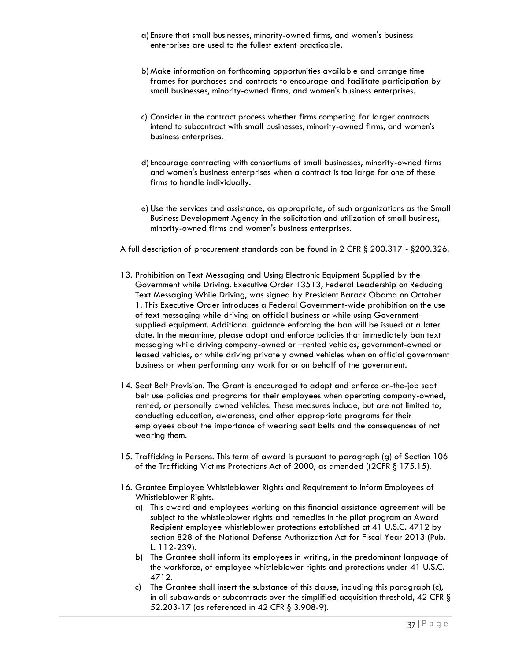- a) Ensure that small businesses, minority-owned firms, and women's business enterprises are used to the fullest extent practicable.
- b)Make information on forthcoming opportunities available and arrange time frames for purchases and contracts to encourage and facilitate participation by small businesses, minority-owned firms, and women's business enterprises.
- c) Consider in the contract process whether firms competing for larger contracts intend to subcontract with small businesses, minority-owned firms, and women's business enterprises.
- d) Encourage contracting with consortiums of small businesses, minority-owned firms and women's business enterprises when a contract is too large for one of these firms to handle individually.
- e) Use the services and assistance, as appropriate, of such organizations as the Small Business Development Agency in the solicitation and utilization of small business, minority-owned firms and women's business enterprises.
- A full description of procurement standards can be found in 2 CFR § 200.317 §200.326.
- 13. Prohibition on Text Messaging and Using Electronic Equipment Supplied by the Government while Driving. Executive Order 13513, Federal Leadership on Reducing Text Messaging While Driving, was signed by President Barack Obama on October 1. This Executive Order introduces a Federal Government-wide prohibition on the use of text messaging while driving on official business or while using Governmentsupplied equipment. Additional guidance enforcing the ban will be issued at a later date. In the meantime, please adopt and enforce policies that immediately ban text messaging while driving company-owned or –rented vehicles, government-owned or leased vehicles, or while driving privately owned vehicles when on official government business or when performing any work for or on behalf of the government.
- 14. Seat Belt Provision. The Grant is encouraged to adopt and enforce on-the-job seat belt use policies and programs for their employees when operating company-owned, rented, or personally owned vehicles. These measures include, but are not limited to, conducting education, awareness, and other appropriate programs for their employees about the importance of wearing seat belts and the consequences of not wearing them.
- 15. Trafficking in Persons. This term of award is pursuant to paragraph (g) of Section 106 of the Trafficking Victims Protections Act of 2000, as amended ((2CFR § 175.15).
- 16. Grantee Employee Whistleblower Rights and Requirement to Inform Employees of Whistleblower Rights.
	- a) This award and employees working on this financial assistance agreement will be subject to the whistleblower rights and remedies in the pilot program on Award Recipient employee whistleblower protections established at 41 U.S.C. 4712 by section 828 of the National Defense Authorization Act for Fiscal Year 2013 (Pub. L. 112-239).
	- b) The Grantee shall inform its employees in writing, in the predominant language of the workforce, of employee whistleblower rights and protections under 41 U.S.C. 4712.
	- c) The Grantee shall insert the substance of this clause, including this paragraph (c), in all subawards or subcontracts over the simplified acquisition threshold, 42 CFR  $\S$ 52.203-17 (as referenced in 42 CFR § 3.908-9).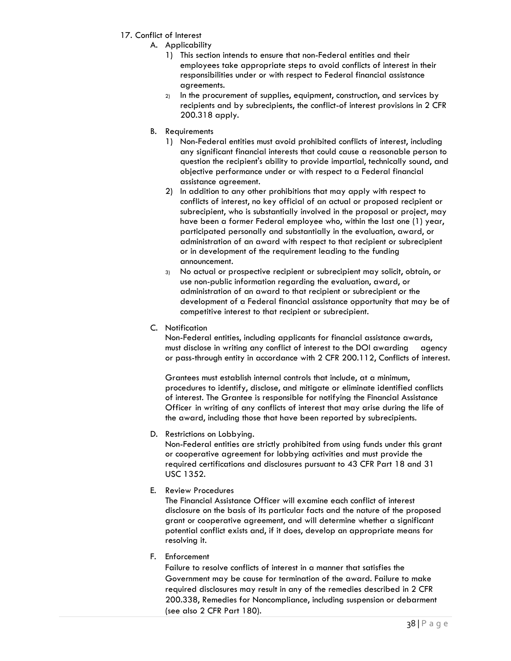- 17. Conflict of Interest
	- A. Applicability
		- 1) This section intends to ensure that non-Federal entities and their employees take appropriate steps to avoid conflicts of interest in their responsibilities under or with respect to Federal financial assistance agreements.
		- 2) In the procurement of supplies, equipment, construction, and services by recipients and by subrecipients, the conflict-of interest provisions in 2 CFR 200.318 apply.
	- B. Requirements
		- 1) Non-Federal entities must avoid prohibited conflicts of interest, including any significant financial interests that could cause a reasonable person to question the recipient's ability to provide impartial, technically sound, and objective performance under or with respect to a Federal financial assistance agreement.
		- 2) In addition to any other prohibitions that may apply with respect to conflicts of interest, no key official of an actual or proposed recipient or subrecipient, who is substantially involved in the proposal or project, may have been a former Federal employee who, within the last one (1) year, participated personally and substantially in the evaluation, award, or administration of an award with respect to that recipient or subrecipient or in development of the requirement leading to the funding announcement.
		- 3) No actual or prospective recipient or subrecipient may solicit, obtain, or use non-public information regarding the evaluation, award, or administration of an award to that recipient or subrecipient or the development of a Federal financial assistance opportunity that may be of competitive interest to that recipient or subrecipient.
	- C. Notification

Non-Federal entities, including applicants for financial assistance awards, must disclose in writing any conflict of interest to the DOI awarding agency or pass-through entity in accordance with 2 CFR 200.112, Conflicts of interest.

Grantees must establish internal controls that include, at a minimum, procedures to identify, disclose, and mitigate or eliminate identified conflicts of interest. The Grantee is responsible for notifying the Financial Assistance Officer in writing of any conflicts of interest that may arise during the life of the award, including those that have been reported by subrecipients.

D. Restrictions on Lobbying.

Non-Federal entities are strictly prohibited from using funds under this grant or cooperative agreement for lobbying activities and must provide the required certifications and disclosures pursuant to 43 CFR Part 18 and 31 USC 1352.

E. Review Procedures

The Financial Assistance Officer will examine each conflict of interest disclosure on the basis of its particular facts and the nature of the proposed grant or cooperative agreement, and will determine whether a significant potential conflict exists and, if it does, develop an appropriate means for resolving it.

F. Enforcement

Failure to resolve conflicts of interest in a manner that satisfies the Government may be cause for termination of the award. Failure to make required disclosures may result in any of the remedies described in 2 CFR 200.338, Remedies for Noncompliance, including suspension or debarment (see also 2 CFR Part 180).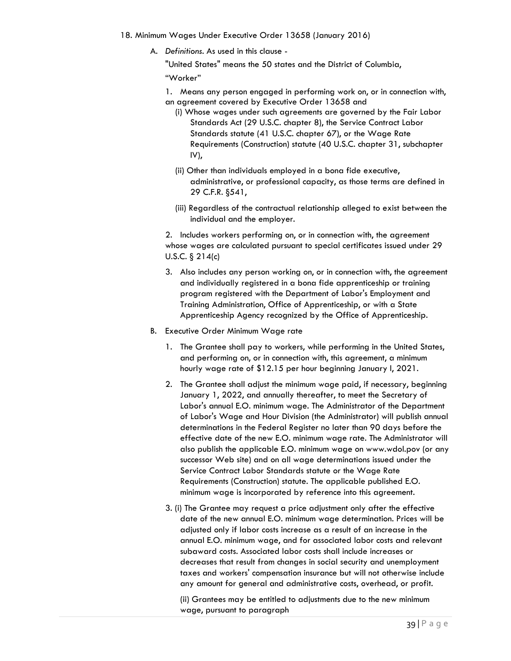- 18. Minimum Wages Under Executive Order 13658 (January 2016)
	- A. *Definitions*. As used in this clause -

"United States" means the 50 states and the District of Columbia, "Worker"

- 1. Means any person engaged in performing work on, or in connection with, an agreement covered by Executive Order 13658 and
	- (i) Whose wages under such agreements are governed by the Fair Labor Standards Act (29 U.S.C. chapter 8), the Service Contract Labor Standards statute (41 U.S.C. chapter 67), or the Wage Rate Requirements (Construction) statute (40 U.S.C. chapter 31, subchapter IV),
	- (ii) Other than individuals employed in a bona fide executive, administrative, or professional capacity, as those terms are defined in 29 C.F.R. §541,
	- (iii) Regardless of the contractual relationship alleged to exist between the individual and the employer.

2. Includes workers performing on, or in connection with, the agreement whose wages are calculated pursuant to special certificates issued under 29 U.S.C. § 214(c)

- 3. Also includes any person working on, or in connection with, the agreement and individually registered in a bona fide apprenticeship or training program registered with the Department of Labor's Employment and Training Administration, Office of Apprenticeship, or with a State Apprenticeship Agency recognized by the Office of Apprenticeship.
- B. Executive Order Minimum Wage rate
	- 1. The Grantee shall pay to workers, while performing in the United States, and performing on, or in connection with, this agreement, a minimum hourly wage rate of \$12.15 per hour beginning January l, 2021.
	- 2. The Grantee shall adjust the minimum wage paid, if necessary, beginning January 1, 2022, and annually thereafter, to meet the Secretary of Labor's annual E.O. minimum wage. The Administrator of the Department of Labor's Wage and Hour Division (the Administrator) will publish annual determinations in the Federal Register no later than 90 days before the effective date of the new E.O. minimum wage rate. The Administrator will also publish the applicable E.O. minimum wage on www.wdol.pov (or any successor Web site) and on all wage determinations issued under the Service Contract Labor Standards statute or the Wage Rate Requirements (Construction) statute. The applicable published E.O. minimum wage is incorporated by reference into this agreement.
	- 3. (i) The Grantee may request a price adjustment only after the effective date of the new annual E.O. minimum wage determination. Prices will be adjusted only if labor costs increase as a result of an increase in the annual E.O. minimum wage, and for associated labor costs and relevant subaward costs. Associated labor costs shall include increases or decreases that result from changes in social security and unemployment taxes and workers' compensation insurance but will not otherwise include any amount for general and administrative costs, overhead, or profit.

(ii) Grantees may be entitled to adjustments due to the new minimum wage, pursuant to paragraph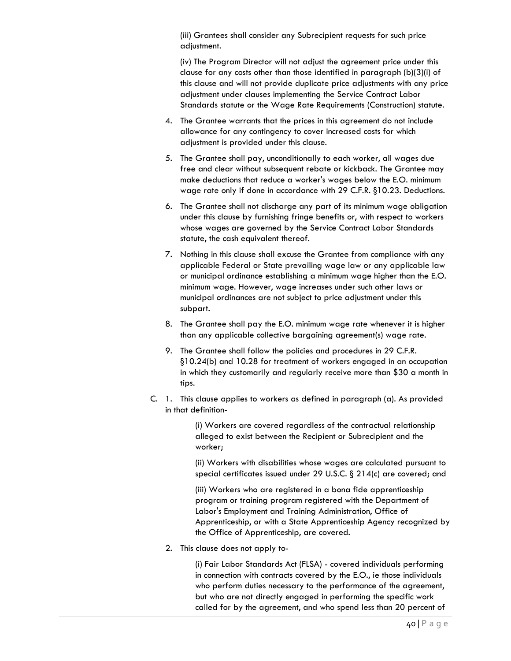(iii) Grantees shall consider any Subrecipient requests for such price adjustment.

(iv) The Program Director will not adjust the agreement price under this clause for any costs other than those identified in paragraph (b)(3)(i) of this clause and will not provide duplicate price adjustments with any price adjustment under clauses implementing the Service Contract Labor Standards statute or the Wage Rate Requirements (Construction) statute.

- 4. The Grantee warrants that the prices in this agreement do not include allowance for any contingency to cover increased costs for which adjustment is provided under this clause.
- 5. The Grantee shall pay, unconditionally to each worker, all wages due free and clear without subsequent rebate or kickback. The Grantee may make deductions that reduce a worker's wages below the E.O. minimum wage rate only if done in accordance with 29 C.F.R. §10.23. Deductions.
- 6. The Grantee shall not discharge any part of its minimum wage obligation under this clause by furnishing fringe benefits or, with respect to workers whose wages are governed by the Service Contract Labor Standards statute, the cash equivalent thereof.
- 7. Nothing in this clause shall excuse the Grantee from compliance with any applicable Federal or State prevailing wage law or any applicable law or municipal ordinance establishing a minimum wage higher than the E.O. minimum wage. However, wage increases under such other laws or municipal ordinances are not subject to price adjustment under this subpart.
- 8. The Grantee shall pay the E.O. minimum wage rate whenever it is higher than any applicable collective bargaining agreement(s) wage rate.
- 9. The Grantee shall follow the policies and procedures in 29 C.F.R. §10.24(b) and 10.28 for treatment of workers engaged in an occupation in which they customarily and regularly receive more than \$30 a month in tips.
- C. 1. This clause applies to workers as defined in paragraph (a). As provided in that definition-

(i) Workers are covered regardless of the contractual relationship alleged to exist between the Recipient or Subrecipient and the worker;

(ii) Workers with disabilities whose wages are calculated pursuant to special certificates issued under 29 U.S.C. § 214(c) are covered; and

(iii) Workers who are registered in a bona fide apprenticeship program or training program registered with the Department of Labor's Employment and Training Administration, Office of Apprenticeship, or with a State Apprenticeship Agency recognized by the Office of Apprenticeship, are covered.

2. This clause does not apply to-

(i) Fair Labor Standards Act (FLSA) - covered individuals performing in connection with contracts covered by the E.O., ie those individuals who perform duties necessary to the performance of the agreement, but who are not directly engaged in performing the specific work called for by the agreement, and who spend less than 20 percent of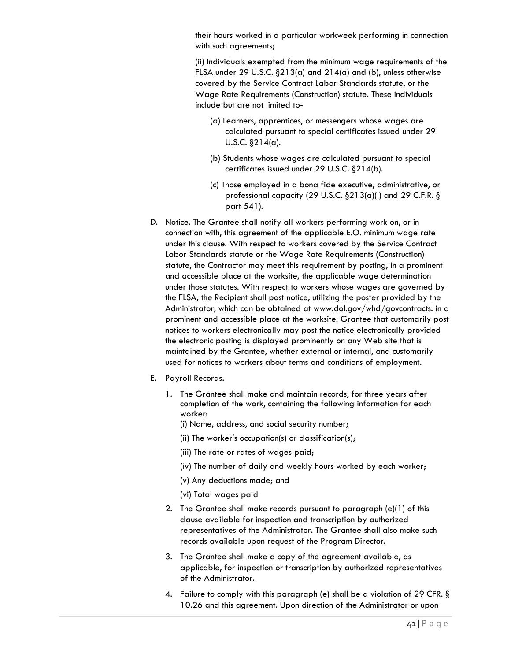their hours worked in a particular workweek performing in connection with such agreements;

(ii) Individuals exempted from the minimum wage requirements of the FLSA under 29 U.S.C. §213(a) and 214(a) and (b), unless otherwise covered by the Service Contract Labor Standards statute, or the Wage Rate Requirements (Construction) statute. These individuals include but are not limited to-

- (a) Learners, apprentices, or messengers whose wages are calculated pursuant to special certificates issued under 29 U.S.C. §214(a).
- (b) Students whose wages are calculated pursuant to special certificates issued under 29 U.S.C. §214(b).
- (c) Those employed in a bona fide executive, administrative, or professional capacity (29 U.S.C. §213(a)(l) and 29 C.F.R. § part 541).
- D. Notice. The Grantee shall notify all workers performing work on, or in connection with, this agreement of the applicable E.O. minimum wage rate under this clause. With respect to workers covered by the Service Contract Labor Standards statute or the Wage Rate Requirements (Construction) statute, the Contractor may meet this requirement by posting, in a prominent and accessible place at the worksite, the applicable wage determination under those statutes. With respect to workers whose wages are governed by the FLSA, the Recipient shall post notice, utilizing the poster provided by the Administrator, which can be obtained at www.dol.gov/whd/govcontracts. in a prominent and accessible place at the worksite. Grantee that customarily post notices to workers electronically may post the notice electronically provided the electronic posting is displayed prominently on any Web site that is maintained by the Grantee, whether external or internal, and customarily used for notices to workers about terms and conditions of employment.
- E. Payroll Records.
	- 1. The Grantee shall make and maintain records, for three years after completion of the work, containing the following information for each worker:
		- (i) Name, address, and social security number;
		- (ii) The worker's occupation(s) or classification(s);
		- (iii) The rate or rates of wages paid;
		- (iv) The number of daily and weekly hours worked by each worker;
		- (v) Any deductions made; and
		- (vi) Total wages paid
	- 2. The Grantee shall make records pursuant to paragraph (e)(1) of this clause available for inspection and transcription by authorized representatives of the Administrator. The Grantee shall also make such records available upon request of the Program Director.
	- 3. The Grantee shall make a copy of the agreement available, as applicable, for inspection or transcription by authorized representatives of the Administrator.
	- 4. Failure to comply with this paragraph (e) shall be a violation of 29 CFR. § 10.26 and this agreement. Upon direction of the Administrator or upon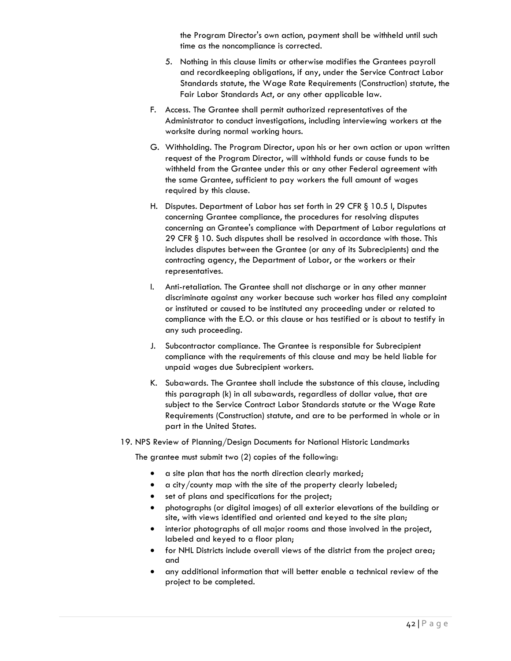the Program Director's own action, payment shall be withheld until such time as the noncompliance is corrected.

- 5. Nothing in this clause limits or otherwise modifies the Grantees payroll and recordkeeping obligations, if any, under the Service Contract Labor Standards statute, the Wage Rate Requirements (Construction) statute, the Fair Labor Standards Act, or any other applicable law.
- F. Access. The Grantee shall permit authorized representatives of the Administrator to conduct investigations, including interviewing workers at the worksite during normal working hours.
- G. Withholding. The Program Director, upon his or her own action or upon written request of the Program Director, will withhold funds or cause funds to be withheld from the Grantee under this or any other Federal agreement with the same Grantee, sufficient to pay workers the full amount of wages required by this clause.
- H. Disputes. Department of Labor has set forth in 29 CFR § 10.5 l, Disputes concerning Grantee compliance, the procedures for resolving disputes concerning an Grantee's compliance with Department of Labor regulations at 29 CFR § 10. Such disputes shall be resolved in accordance with those. This includes disputes between the Grantee (or any of its Subrecipients) and the contracting agency, the Department of Labor, or the workers or their representatives.
- I. Anti-retaliation. The Grantee shall not discharge or in any other manner discriminate against any worker because such worker has filed any complaint or instituted or caused to be instituted any proceeding under or related to compliance with the E.O. or this clause or has testified or is about to testify in any such proceeding.
- J. Subcontractor compliance. The Grantee is responsible for Subrecipient compliance with the requirements of this clause and may be held liable for unpaid wages due Subrecipient workers.
- K. Subawards. The Grantee shall include the substance of this clause, including this paragraph (k) in all subawards, regardless of dollar value, that are subject to the Service Contract Labor Standards statute or the Wage Rate Requirements (Construction) statute, and are to be performed in whole or in part in the United States.
- 19. NPS Review of Planning/Design Documents for National Historic Landmarks

The grantee must submit two (2) copies of the following:

- a site plan that has the north direction clearly marked;
- a city/county map with the site of the property clearly labeled;
- set of plans and specifications for the project;
- photographs (or digital images) of all exterior elevations of the building or site, with views identified and oriented and keyed to the site plan;
- interior photographs of all major rooms and those involved in the project, labeled and keyed to a floor plan;
- for NHL Districts include overall views of the district from the project area; and
- any additional information that will better enable a technical review of the project to be completed.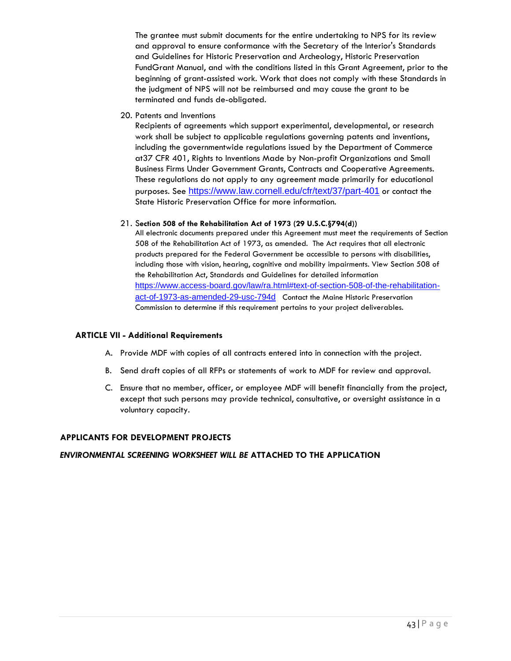The grantee must submit documents for the entire undertaking to NPS for its review and approval to ensure conformance with the Secretary of the Interior's Standards and Guidelines for Historic Preservation and Archeology, Historic Preservation FundGrant Manual, and with the conditions listed in this Grant Agreement, prior to the beginning of grant-assisted work. Work that does not comply with these Standards in the judgment of NPS will not be reimbursed and may cause the grant to be terminated and funds de-obligated.

20. Patents and Inventions

Recipients of agreements which support experimental, developmental, or research work shall be subject to applicable regulations governing patents and inventions, including the governmentwide regulations issued by the Department of Commerce at37 CFR 401, Rights to Inventions Made by Non-profit Organizations and Small Business Firms Under Government Grants, Contracts and Cooperative Agreements. These regulations do not apply to any agreement made primarily for educational purposes. See <https://www.law.cornell.edu/cfr/text/37/part-401> or contact the State Historic Preservation Office for more information.

#### 21. S**ection 508 of the Rehabilitation Act of 1973 (29 U.S.C.§794(d))**

All electronic documents prepared under this Agreement must meet the requirements of Section 508 of the Rehabilitation Act of 1973, as amended. The Act requires that all electronic products prepared for the Federal Government be accessible to persons with disabilities, including those with vision, hearing, cognitive and mobility impairments. View Section 508 of the Rehabilitation Act, Standards and Guidelines for detailed information [https://www.access-board.gov/law/ra.html#text-of-section-508-of-the-rehabilitation](https://www.access-board.gov/law/ra.html#text-of-section-508-of-the-rehabilitation-act-of-1973-as-amended-29-usc-794d)[act-of-1973-as-amended-29-usc-794d](https://www.access-board.gov/law/ra.html#text-of-section-508-of-the-rehabilitation-act-of-1973-as-amended-29-usc-794d) Contact the Maine Historic Preservation Commission to determine if this requirement pertains to your project deliverables.

#### **ARTICLE VII - Additional Requirements**

- A. Provide MDF with copies of all contracts entered into in connection with the project.
- B. Send draft copies of all RFPs or statements of work to MDF for review and approval.
- C. Ensure that no member, officer, or employee MDF will benefit financially from the project, except that such persons may provide technical, consultative, or oversight assistance in a voluntary capacity.

#### **APPLICANTS FOR DEVELOPMENT PROJECTS**

#### *ENVIRONMENTAL SCREENING WORKSHEET WILL BE* **ATTACHED TO THE APPLICATION**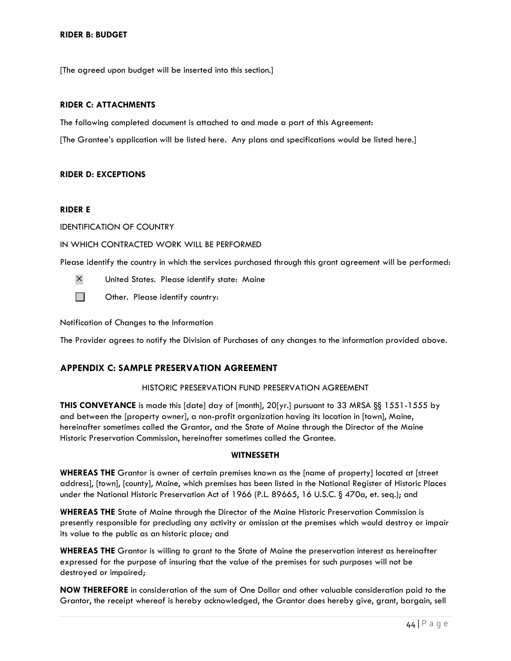[The agreed upon budget will be inserted into this section.]

#### **RIDER C: ATTACHMENTS**

The following completed document is attached to and made a part of this Agreement:

[The Grantee's application will be listed here. Any plans and specifications would be listed here.]

#### **RIDER D: EXCEPTIONS**

#### **RIDER E**

IDENTIFICATION OF COUNTRY

#### IN WHICH CONTRACTED WORK WILL BE PERFORMED

Please identify the country in which the services purchased through this grant agreement will be performed:

- United States. Please identify state: Maine
- $\Box$ Other. Please identify country:

Notification of Changes to the Information

The Provider agrees to notify the Division of Purchases of any changes to the information provided above.

#### <span id="page-46-0"></span>**APPENDIX C: SAMPLE PRESERVATION AGREEMENT**

#### HISTORIC PRESERVATION FUND PRESERVATION AGREEMENT

**THIS CONVEYANCE** is made this [date] day of [month], 20[yr.] pursuant to 33 MRSA §§ 1551-1555 by and between the [property owner], a non-profit organization having its location in [town], Maine, hereinafter sometimes called the Grantor, and the State of Maine through the Director of the Maine Historic Preservation Commission, hereinafter sometimes called the Grantee.

#### **WITNESSETH**

**WHEREAS THE** Grantor is owner of certain premises known as the [name of property] located at [street address], [town], [county], Maine, which premises has been listed in the National Register of Historic Places under the National Historic Preservation Act of 1966 (P.L. 89665, 16 U.S.C. § 470a, et. seq.); and

**WHEREAS THE** State of Maine through the Director of the Maine Historic Preservation Commission is presently responsible for precluding any activity or omission at the premises which would destroy or impair its value to the public as an historic place; and

**WHEREAS THE** Grantor is willing to grant to the State of Maine the preservation interest as hereinafter expressed for the purpose of insuring that the value of the premises for such purposes will not be destroyed or impaired;

**NOW THEREFORE** in consideration of the sum of One Dollar and other valuable consideration paid to the Grantor, the receipt whereof is hereby acknowledged, the Grantor does hereby give, grant, bargain, sell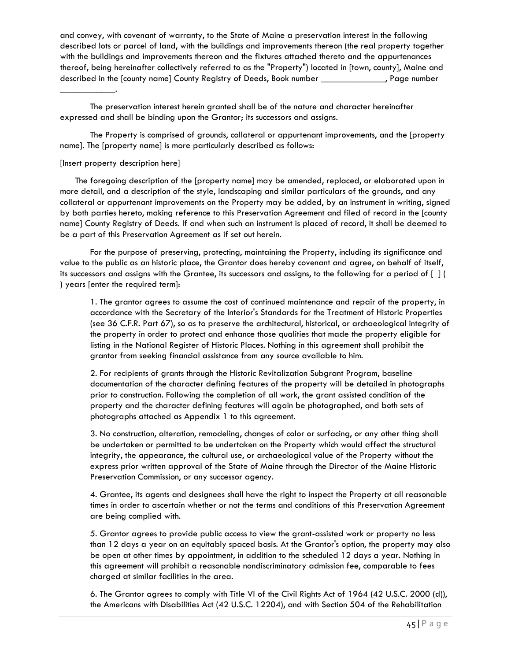and convey, with covenant of warranty, to the State of Maine a preservation interest in the following described lots or parcel of land, with the buildings and improvements thereon (the real property together with the buildings and improvements thereon and the fixtures attached thereto and the appurtenances thereof, being hereinafter collectively referred to as the "Property") located in [town, county], Maine and described in the [county name] County Registry of Deeds, Book number \_\_\_\_\_\_\_\_\_\_\_\_\_\_, Page number

The preservation interest herein granted shall be of the nature and character hereinafter expressed and shall be binding upon the Grantor; its successors and assigns.

The Property is comprised of grounds, collateral or appurtenant improvements, and the [property name]. The [property name] is more particularly described as follows:

#### [Insert property description here]

\_\_\_\_\_\_\_\_\_\_\_\_.

The foregoing description of the [property name] may be amended, replaced, or elaborated upon in more detail, and a description of the style, landscaping and similar particulars of the grounds, and any collateral or appurtenant improvements on the Property may be added, by an instrument in writing, signed by both parties hereto, making reference to this Preservation Agreement and filed of record in the [county name] County Registry of Deeds. If and when such an instrument is placed of record, it shall be deemed to be a part of this Preservation Agreement as if set out herein.

For the purpose of preserving, protecting, maintaining the Property, including its significance and value to the public as an historic place, the Grantor does hereby covenant and agree, on behalf of itself, its successors and assigns with the Grantee, its successors and assigns, to the following for a period of [ ] ( ) years [enter the required term]:

1. The grantor agrees to assume the cost of continued maintenance and repair of the property, in accordance with the Secretary of the Interior's Standards for the Treatment of Historic Properties (see 36 C.F.R. Part 67), so as to preserve the architectural, historical, or archaeological integrity of the property in order to protect and enhance those qualities that made the property eligible for listing in the National Register of Historic Places. Nothing in this agreement shall prohibit the grantor from seeking financial assistance from any source available to him.

2. For recipients of grants through the Historic Revitalization Subgrant Program, baseline documentation of the character defining features of the property will be detailed in photographs prior to construction. Following the completion of all work, the grant assisted condition of the property and the character defining features will again be photographed, and both sets of photographs attached as Appendix 1 to this agreement.

3. No construction, alteration, remodeling, changes of color or surfacing, or any other thing shall be undertaken or permitted to be undertaken on the Property which would affect the structural integrity, the appearance, the cultural use, or archaeological value of the Property without the express prior written approval of the State of Maine through the Director of the Maine Historic Preservation Commission, or any successor agency.

4. Grantee, its agents and designees shall have the right to inspect the Property at all reasonable times in order to ascertain whether or not the terms and conditions of this Preservation Agreement are being complied with.

5. Grantor agrees to provide public access to view the grant-assisted work or property no less than 12 days a year on an equitably spaced basis. At the Grantor's option, the property may also be open at other times by appointment, in addition to the scheduled 12 days a year. Nothing in this agreement will prohibit a reasonable nondiscriminatory admission fee, comparable to fees charged at similar facilities in the area.

6. The Grantor agrees to comply with Title VI of the Civil Rights Act of 1964 (42 U.S.C. 2000 (d)), the Americans with Disabilities Act (42 U.S.C. 12204), and with Section 504 of the Rehabilitation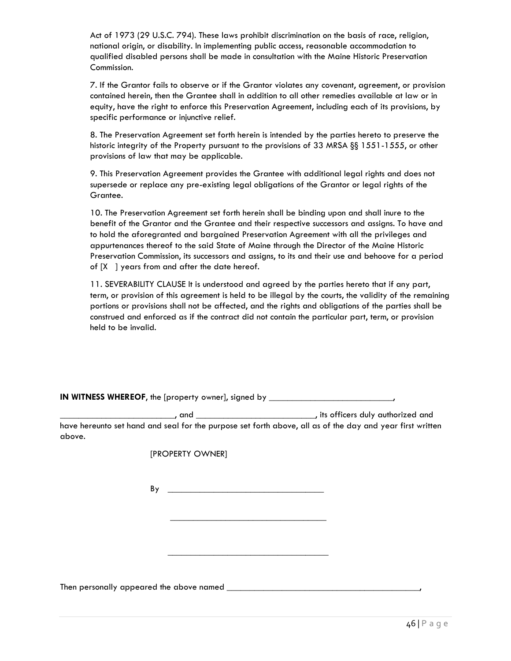Act of 1973 (29 U.S.C. 794). These laws prohibit discrimination on the basis of race, religion, national origin, or disability. In implementing public access, reasonable accommodation to qualified disabled persons shall be made in consultation with the Maine Historic Preservation Commission.

7. If the Grantor fails to observe or if the Grantor violates any covenant, agreement, or provision contained herein, then the Grantee shall in addition to all other remedies available at law or in equity, have the right to enforce this Preservation Agreement, including each of its provisions, by specific performance or injunctive relief.

8. The Preservation Agreement set forth herein is intended by the parties hereto to preserve the historic integrity of the Property pursuant to the provisions of 33 MRSA §§ 1551-1555, or other provisions of law that may be applicable.

9. This Preservation Agreement provides the Grantee with additional legal rights and does not supersede or replace any pre-existing legal obligations of the Grantor or legal rights of the Grantee.

10. The Preservation Agreement set forth herein shall be binding upon and shall inure to the benefit of the Grantor and the Grantee and their respective successors and assigns. To have and to hold the aforegranted and bargained Preservation Agreement with all the privileges and appurtenances thereof to the said State of Maine through the Director of the Maine Historic Preservation Commission, its successors and assigns, to its and their use and behoove for a period of [X ] years from and after the date hereof.

11. SEVERABILITY CLAUSE It is understood and agreed by the parties hereto that if any part, term, or provision of this agreement is held to be illegal by the courts, the validity of the remaining portions or provisions shall not be affected, and the rights and obligations of the parties shall be construed and enforced as if the contract did not contain the particular part, term, or provision held to be invalid.

| IN WITNESS WHEREOF, the [property owner], signed by |  |  |  |
|-----------------------------------------------------|--|--|--|
|-----------------------------------------------------|--|--|--|

\_\_\_\_\_\_\_\_\_\_\_\_\_\_\_\_\_\_\_\_\_\_\_\_\_, and \_\_\_\_\_\_\_\_\_\_\_\_\_\_\_\_\_\_\_\_\_\_\_\_\_\_, its officers duly authorized and have hereunto set hand and seal for the purpose set forth above, all as of the day and year first written above.

[PROPERTY OWNER]

 $By$ 

 $\overline{\phantom{a}}$  , which is a set of the set of the set of the set of the set of the set of the set of the set of the set of the set of the set of the set of the set of the set of the set of the set of the set of the set of th

\_\_\_\_\_\_\_\_\_\_\_\_\_\_\_\_\_\_\_\_\_\_\_\_\_\_\_\_\_\_\_\_\_\_\_

Then personally appeared the above named \_\_\_\_\_\_\_\_\_\_\_\_\_\_\_\_\_\_\_\_\_\_\_\_\_\_\_\_\_\_\_\_\_\_\_\_\_\_\_\_\_\_,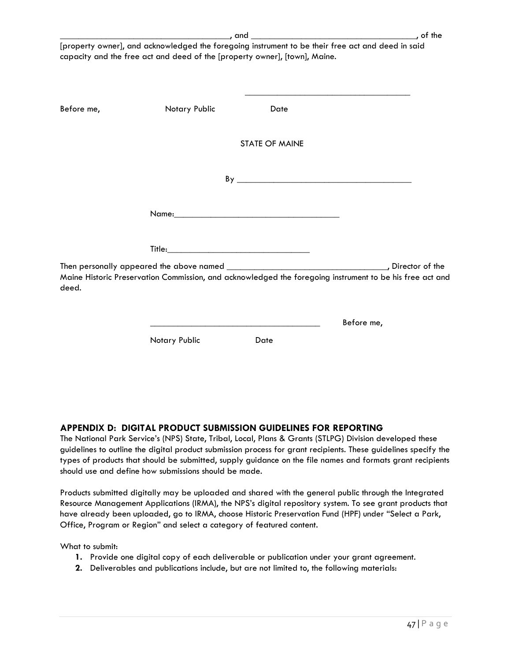|            | [property owner], and acknowledged the foregoing instrument to be their free act and deed in said<br>capacity and the free act and deed of the [property owner], [town], Maine. |                       |                                                                                                          |
|------------|---------------------------------------------------------------------------------------------------------------------------------------------------------------------------------|-----------------------|----------------------------------------------------------------------------------------------------------|
| Before me, | Notary Public                                                                                                                                                                   | Date                  |                                                                                                          |
|            |                                                                                                                                                                                 | <b>STATE OF MAINE</b> |                                                                                                          |
|            |                                                                                                                                                                                 |                       |                                                                                                          |
|            |                                                                                                                                                                                 |                       |                                                                                                          |
|            |                                                                                                                                                                                 |                       |                                                                                                          |
| deed.      |                                                                                                                                                                                 |                       | Maine Historic Preservation Commission, and acknowledged the foregoing instrument to be his free act and |

#### <span id="page-49-0"></span>**APPENDIX D: DIGITAL PRODUCT SUBMISSION GUIDELINES FOR REPORTING**

Notary Public **Date** 

The National Park Service's (NPS) State, Tribal, Local, Plans & Grants (STLPG) Division developed these guidelines to outline the digital product submission process for grant recipients. These guidelines specify the types of products that should be submitted, supply guidance on the file names and formats grant recipients should use and define how submissions should be made.

Products submitted digitally may be uploaded and shared with the general public through the Integrated Resource Management Applications (IRMA), the NPS's digital repository system. To see grant products that have already been uploaded, go to IRMA, choose Historic Preservation Fund (HPF) under "Select a Park, Office, Program or Region" and select a category of featured content.

What to submit:

- **1.** Provide one digital copy of each deliverable or publication under your grant agreement.
- **2.** Deliverables and publications include, but are not limited to, the following materials:

Before me,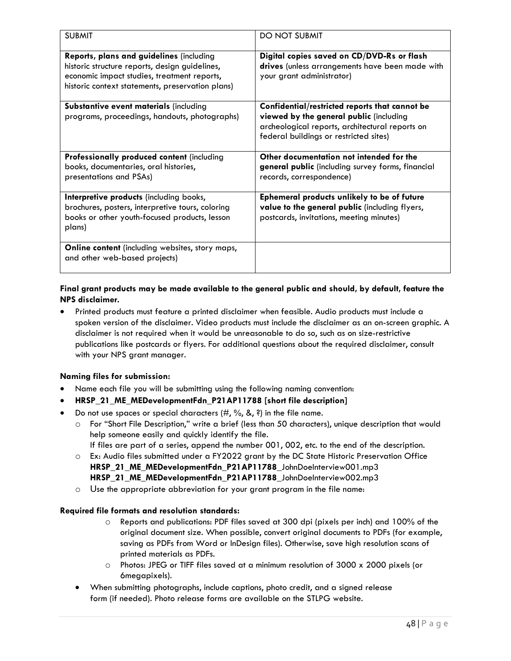| <b>SUBMIT</b>                                                                                                                                                                                 | <b>DO NOT SUBMIT</b>                                                                                                                                                                   |
|-----------------------------------------------------------------------------------------------------------------------------------------------------------------------------------------------|----------------------------------------------------------------------------------------------------------------------------------------------------------------------------------------|
| Reports, plans and guidelines (including<br>historic structure reports, design guidelines,<br>economic impact studies, treatment reports,<br>historic context statements, preservation plans) | Digital copies saved on CD/DVD-Rs or flash<br>drives (unless arrangements have been made with<br>your grant administrator)                                                             |
| <b>Substantive event materials (including</b><br>programs, proceedings, handouts, photographs)                                                                                                | Confidential/restricted reports that cannot be<br>viewed by the general public (including<br>archeological reports, architectural reports on<br>federal buildings or restricted sites) |
| Professionally produced content (including<br>books, documentaries, oral histories,<br>presentations and PSAs)                                                                                | Other documentation not intended for the<br>general public (including survey forms, financial<br>records, correspondence)                                                              |
| Interpretive products (including books,<br>brochures, posters, interpretive tours, coloring<br>books or other youth-focused products, lesson<br>plans)                                        | Ephemeral products unlikely to be of future<br>value to the general public (including flyers,<br>postcards, invitations, meeting minutes)                                              |
| Online content (including websites, story maps,<br>and other web-based projects)                                                                                                              |                                                                                                                                                                                        |

#### **Final grant products may be made available to the general public and should, by default, feature the NPS disclaimer.**

• Printed products must feature a printed disclaimer when feasible. Audio products must include a spoken version of the disclaimer. Video products must include the disclaimer as an on-screen graphic. A disclaimer is not required when it would be unreasonable to do so, such as on size-restrictive publications like postcards or flyers. For additional questions about the required disclaimer, consult with your NPS grant manager.

#### **Naming files for submission:**

- Name each file you will be submitting using the following naming convention:
- **HRSP\_21\_ME\_MEDevelopmentFdn\_P21AP11788 [short file description]**
- Do not use spaces or special characters  $(\#$ ,  $\%$ ,  $\&$ ,  $\frac{2}{3}$ ) in the file name.
	- o For "Short File Description," write a brief (less than 50 characters), unique description that would help someone easily and quickly identify the file.
		- If files are part of a series, append the number 001, 002, etc. to the end of the description.
	- o Ex: Audio files submitted under a FY2022 grant by the DC State Historic Preservation Office **HRSP\_21\_ME\_MEDevelopmentFdn\_P21AP11788**\_JohnDoeInterview001.mp3 **HRSP\_21\_ME\_MEDevelopmentFdn\_P21AP11788**\_JohnDoeInterview002.mp3
	- $\circ$  Use the appropriate abbreviation for your grant program in the file name:

#### **Required file formats and resolution standards:**

- o Reports and publications: PDF files saved at 300 dpi (pixels per inch) and 100% of the original document size. When possible, convert original documents to PDFs (for example, saving as PDFs from Word or InDesign files). Otherwise, save high resolution scans of printed materials as PDFs.
- o Photos: JPEG or TIFF files saved at a minimum resolution of 3000 x 2000 pixels (or 6megapixels).
- When submitting photographs, include captions, photo credit, and a signed release form (if needed). Photo release forms are available on the STLPG website.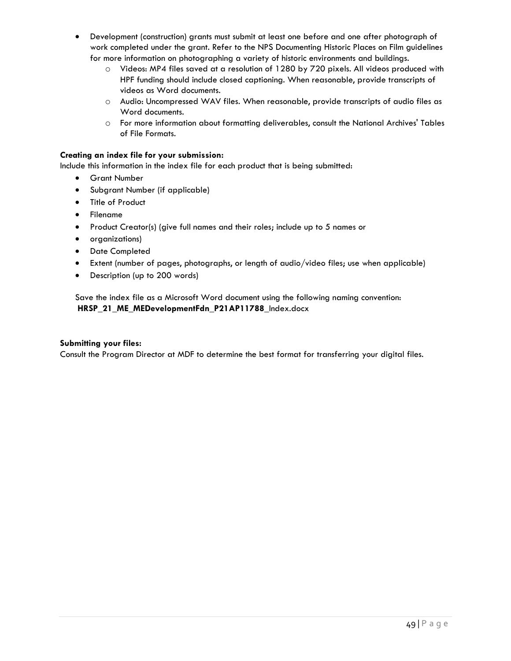- Development (construction) grants must submit at least one before and one after photograph of work completed under the grant. Refer to the NPS Documenting Historic Places on Film guidelines for more information on photographing a variety of historic environments and buildings.
	- o Videos: MP4 files saved at a resolution of 1280 by 720 pixels. All videos produced with HPF funding should include closed captioning. When reasonable, provide transcripts of videos as Word documents.
	- o Audio: Uncompressed WAV files. When reasonable, provide transcripts of audio files as Word documents.
	- o For more information about formatting deliverables, consult the National Archives' Tables of File Formats.

#### **Creating an index file for your submission:**

Include this information in the index file for each product that is being submitted:

- Grant Number
- Subgrant Number (if applicable)
- Title of Product
- Filename
- Product Creator(s) (give full names and their roles; include up to 5 names or
- organizations)
- Date Completed
- Extent (number of pages, photographs, or length of audio/video files; use when applicable)
- Description (up to 200 words)

Save the index file as a Microsoft Word document using the following naming convention: **HRSP\_21\_ME\_MEDevelopmentFdn\_P21AP11788**\_Index.docx

#### **Submitting your files:**

Consult the Program Director at MDF to determine the best format for transferring your digital files.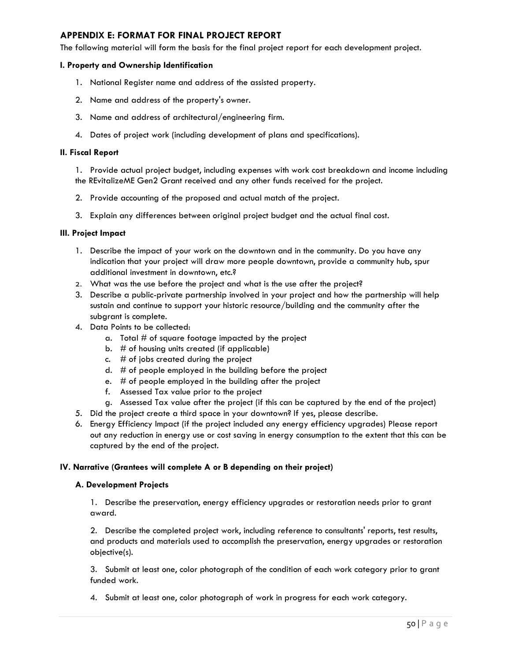#### <span id="page-52-0"></span>**APPENDIX E: FORMAT FOR FINAL PROJECT REPORT**

The following material will form the basis for the final project report for each development project.

#### **I. Property and Ownership Identification**

- 1. National Register name and address of the assisted property.
- 2. Name and address of the property's owner.
- 3. Name and address of architectural/engineering firm.
- 4. Dates of project work (including development of plans and specifications).

#### **II. Fiscal Report**

1. Provide actual project budget, including expenses with work cost breakdown and income including the REvitalizeME Gen2 Grant received and any other funds received for the project.

- 2. Provide accounting of the proposed and actual match of the project.
- 3. Explain any differences between original project budget and the actual final cost.

#### **III. Project Impact**

- 1. Describe the impact of your work on the downtown and in the community. Do you have any indication that your project will draw more people downtown, provide a community hub, spur additional investment in downtown, etc.?
- 2. What was the use before the project and what is the use after the project?
- 3. Describe a public-private partnership involved in your project and how the partnership will help sustain and continue to support your historic resource/building and the community after the subgrant is complete.
- 4. Data Points to be collected:
	- a. Total  $#$  of square footage impacted by the project
	- b. # of housing units created (if applicable)
	- c.  $#$  of jobs created during the project
	- d. # of people employed in the building before the project
	- e. # of people employed in the building after the project
	- f. Assessed Tax value prior to the project
	- g. Assessed Tax value after the project (if this can be captured by the end of the project)
- 5. Did the project create a third space in your downtown? If yes, please describe.
- 6. Energy Efficiency Impact (if the project included any energy efficiency upgrades) Please report out any reduction in energy use or cost saving in energy consumption to the extent that this can be captured by the end of the project.

#### **IV. Narrative (Grantees will complete A or B depending on their project)**

#### **A. Development Projects**

1. Describe the preservation, energy efficiency upgrades or restoration needs prior to grant award.

2. Describe the completed project work, including reference to consultants' reports, test results, and products and materials used to accomplish the preservation, energy upgrades or restoration objective(s).

3. Submit at least one, color photograph of the condition of each work category prior to grant funded work.

4. Submit at least one, color photograph of work in progress for each work category.